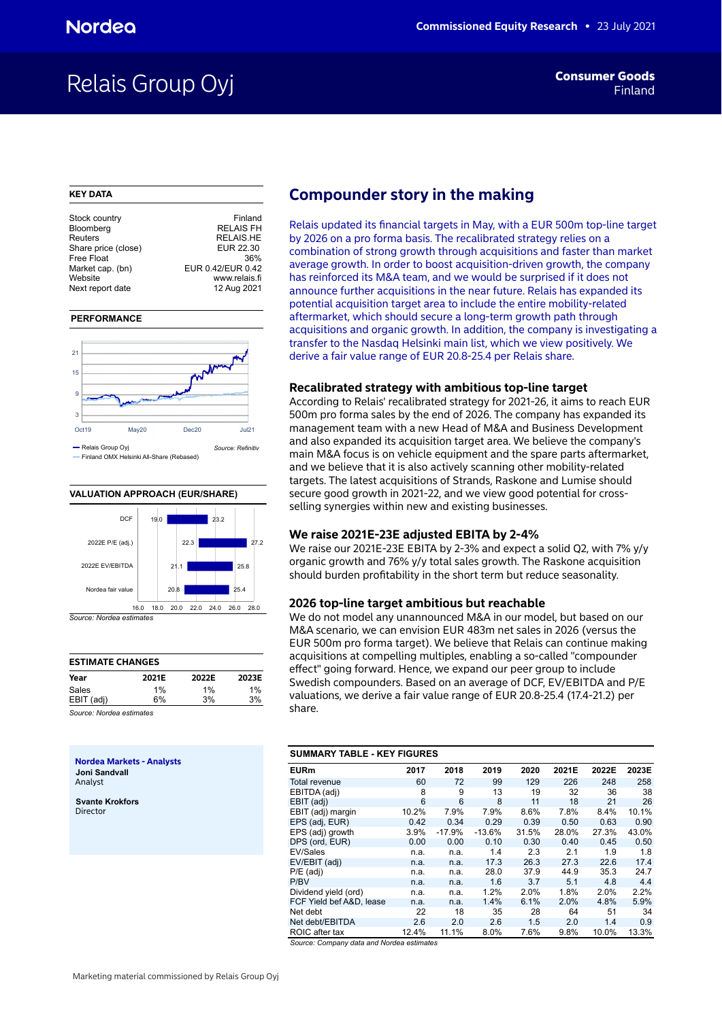## Relais Group Oyj **Finand**

#### **KEY DATA**

| Stock country       | Finland           |
|---------------------|-------------------|
| Bloomberg           | <b>RELAIS FH</b>  |
| Reuters             | <b>RELAIS.HE</b>  |
| Share price (close) | EUR 22.30         |
| Free Float          | 36%               |
| Market cap. (bn)    | EUR 0.42/EUR 0.42 |
| Website             | www.relais.fi     |
| Next report date    | 12 Aug 2021       |
|                     |                   |





### **VALUATION APPROACH (EUR/SHARE)**



*Source: Nordea estimates*

| <b>ESTIMATE CHANGES</b>  |       |       |       |
|--------------------------|-------|-------|-------|
| Year                     | 2021E | 2022E | 2023E |
| Sales                    | 1%    | 1%    | $1\%$ |
| EBIT (adj)               | 6%    | 3%    | 3%    |
| Source: Nordea estimates |       |       |       |

**Nordea Markets - Analysts Joni Sandvall** Analyst

**Svante Krokfors** Director

## **Compounder story in the making**

Relais updated its financial targets in May, with a EUR 500m top-line target by 2026 on a pro forma basis. The recalibrated strategy relies on a combination of strong growth through acquisitions and faster than market average growth. In order to boost acquisition-driven growth, the company has reinforced its M&A team, and we would be surprised if it does not announce further acquisitions in the near future. Relais has expanded its potential acquisition target area to include the entire mobility-related aftermarket, which should secure a long-term growth path through acquisitions and organic growth. In addition, the company is investigating a transfer to the Nasdaq Helsinki main list, which we view positively. We derive a fair value range of EUR 20.8-25.4 per Relais share.

#### **Recalibrated strategy with ambitious top-line target**

According to Relais' recalibrated strategy for 2021-26, it aims to reach EUR 500m pro forma sales by the end of 2026. The company has expanded its management team with a new Head of M&A and Business Development and also expanded its acquisition target area. We believe the company's main M&A focus is on vehicle equipment and the spare parts aftermarket, and we believe that it is also actively scanning other mobility-related targets. The latest acquisitions of Strands, Raskone and Lumise should secure good growth in 2021-22, and we view good potential for crossselling synergies within new and existing businesses.

## **We raise 2021E-23E adjusted EBITA by 2-4%**

We raise our 2021E-23E EBITA by 2-3% and expect a solid Q2, with 7% y/y organic growth and 76% y/y total sales growth. The Raskone acquisition should burden profitability in the short term but reduce seasonality.

## **2026 top-line target ambitious but reachable**

We do not model any unannounced M&A in our model, but based on our M&A scenario, we can envision EUR 483m net sales in 2026 (versus the EUR 500m pro forma target). We believe that Relais can continue making acquisitions at compelling multiples, enabling a so-called "compounder effect" going forward. Hence, we expand our peer group to include Swedish compounders. Based on an average of DCF, EV/EBITDA and P/E valuations, we derive a fair value range of EUR 20.8-25.4 (17.4-21.2) per share.

| <b>SUMMARY TABLE - KEY FIGURES</b> |       |          |          |       |       |       |       |
|------------------------------------|-------|----------|----------|-------|-------|-------|-------|
| <b>EURm</b>                        | 2017  | 2018     | 2019     | 2020  | 2021E | 2022E | 2023E |
| <b>Total revenue</b>               | 60    | 72       | 99       | 129   | 226   | 248   | 258   |
| EBITDA (adj)                       | 8     | 9        | 13       | 19    | 32    | 36    | 38    |
| EBIT (adj)                         | 6     | 6        | 8        | 11    | 18    | 21    | 26    |
| EBIT (adj) margin                  | 10.2% | 7.9%     | 7.9%     | 8.6%  | 7.8%  | 8.4%  | 10.1% |
| EPS (adj, EUR)                     | 0.42  | 0.34     | 0.29     | 0.39  | 0.50  | 0.63  | 0.90  |
| EPS (adj) growth                   | 3.9%  | $-17.9%$ | $-13.6%$ | 31.5% | 28.0% | 27.3% | 43.0% |
| DPS (ord, EUR)                     | 0.00  | 0.00     | 0.10     | 0.30  | 0.40  | 0.45  | 0.50  |
| EV/Sales                           | n.a.  | n.a.     | 1.4      | 2.3   | 2.1   | 1.9   | 1.8   |
| EV/EBIT (adj)                      | n.a.  | n.a.     | 17.3     | 26.3  | 27.3  | 22.6  | 17.4  |
| $P/E$ (adj)                        | n.a.  | n.a.     | 28.0     | 37.9  | 44.9  | 35.3  | 24.7  |
| P/BV                               | n.a.  | n.a.     | 1.6      | 3.7   | 5.1   | 4.8   | 4.4   |
| Dividend yield (ord)               | n.a.  | n.a.     | 1.2%     | 2.0%  | 1.8%  | 2.0%  | 2.2%  |
| FCF Yield bef A&D, lease           | n.a.  | n.a.     | 1.4%     | 6.1%  | 2.0%  | 4.8%  | 5.9%  |
| Net debt                           | 22    | 18       | 35       | 28    | 64    | 51    | 34    |
| Net debt/EBITDA                    | 2.6   | 2.0      | 2.6      | 1.5   | 2.0   | 1.4   | 0.9   |
| ROIC after tax                     | 12.4% | 11.1%    | 8.0%     | 7.6%  | 9.8%  | 10.0% | 13.3% |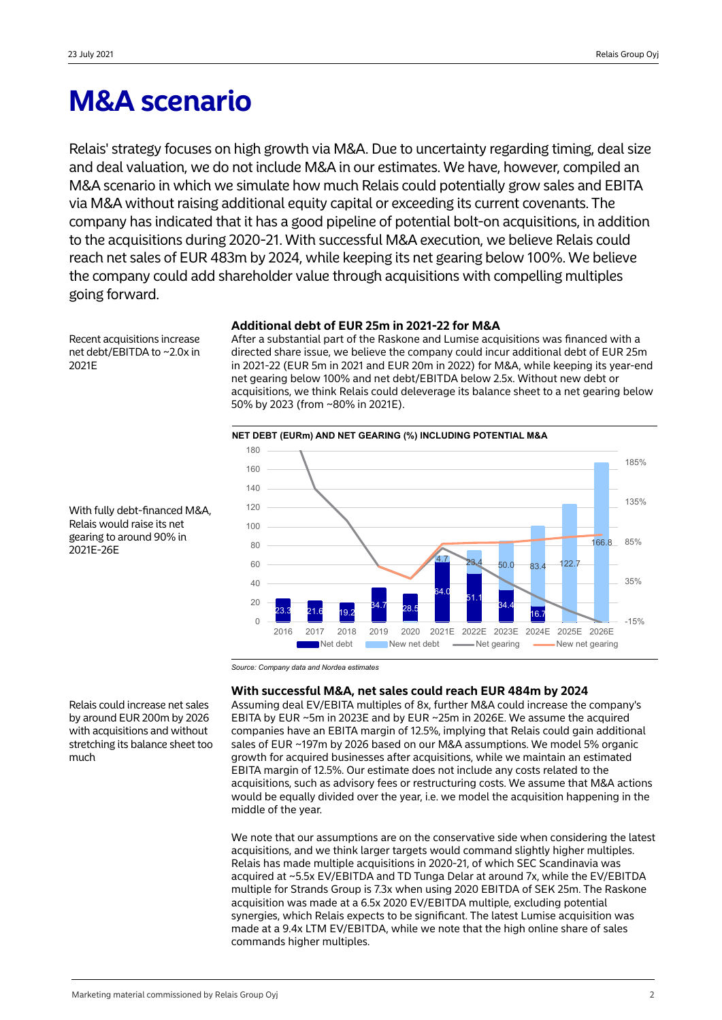# **M&A scenario**

Relais' strategy focuses on high growth via M&A. Due to uncertainty regarding timing, deal size and deal valuation, we do not include M&A in our estimates. We have, however, compiled an M&A scenario in which we simulate how much Relais could potentially grow sales and EBITA via M&A without raising additional equity capital or exceeding its current covenants. The company has indicated that it has a good pipeline of potential bolt-on acquisitions, in addition to the acquisitions during 2020-21. With successful M&A execution, we believe Relais could reach net sales of EUR 483m by 2024, while keeping its net gearing below 100%. We believe the company could add shareholder value through acquisitions with compelling multiples going forward.

Recent acquisitions increase net debt/EBITDA to ~2.0x in 2021E

## **Additional debt of EUR 25m in 2021-22 for M&A**

After a substantial part of the Raskone and Lumise acquisitions was financed with a directed share issue, we believe the company could incur additional debt of EUR 25m in 2021-22 (EUR 5m in 2021 and EUR 20m in 2022) for M&A, while keeping its year-end net gearing below 100% and net debt/EBITDA below 2.5x. Without new debt or acquisitions, we think Relais could deleverage its balance sheet to a net gearing below 50% by 2023 (from ~80% in 2021E).



With fully debt-financed M&A, Relais would raise its net gearing to around 90% in 2021E-26E

*Source: Company data and Nordea estimates*

## **With successful M&A, net sales could reach EUR 484m by 2024**

Assuming deal EV/EBITA multiples of 8x, further M&A could increase the company's EBITA by EUR ~5m in 2023E and by EUR ~25m in 2026E. We assume the acquired companies have an EBITA margin of 12.5%, implying that Relais could gain additional sales of EUR ~197m by 2026 based on our M&A assumptions. We model 5% organic growth for acquired businesses after acquisitions, while we maintain an estimated EBITA margin of 12.5%. Our estimate does not include any costs related to the acquisitions, such as advisory fees or restructuring costs. We assume that M&A actions would be equally divided over the year, i.e. we model the acquisition happening in the middle of the year.

We note that our assumptions are on the conservative side when considering the latest acquisitions, and we think larger targets would command slightly higher multiples. Relais has made multiple acquisitions in 2020-21, of which SEC Scandinavia was acquired at ~5.5x EV/EBITDA and TD Tunga Delar at around 7x, while the EV/EBITDA multiple for Strands Group is 7.3x when using 2020 EBITDA of SEK 25m. The Raskone acquisition was made at a 6.5x 2020 EV/EBITDA multiple, excluding potential synergies, which Relais expects to be significant. The latest Lumise acquisition was made at a 9.4x LTM EV/EBITDA, while we note that the high online share of sales commands higher multiples.

Relais could increase net sales by around EUR 200m by 2026 with acquisitions and without stretching its balance sheet too much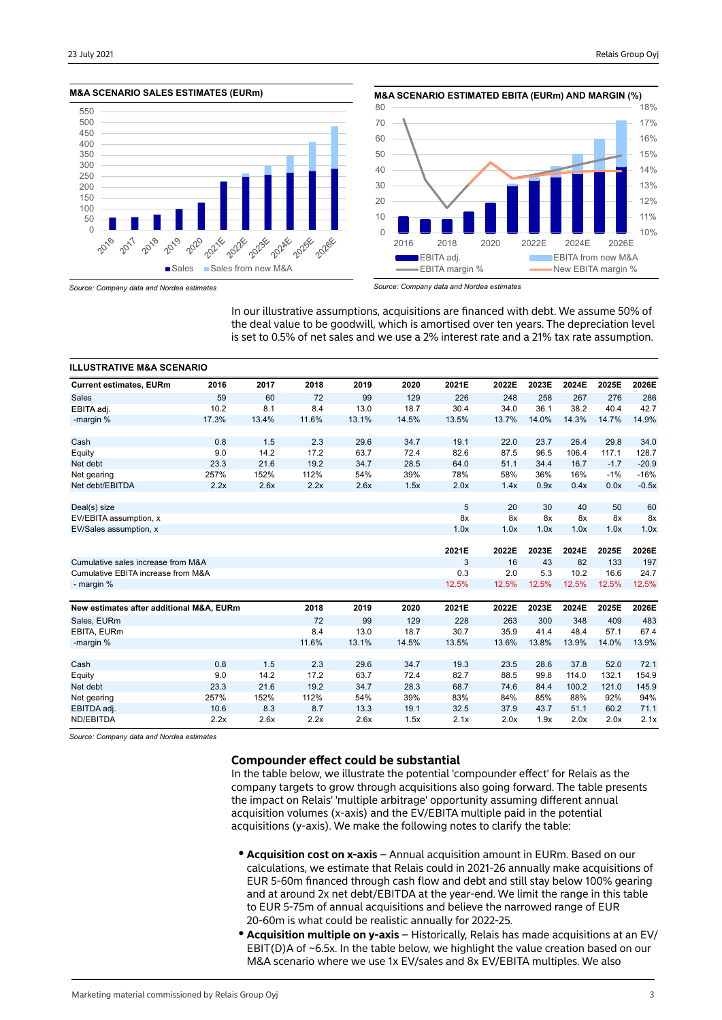



*Source: Company data and Nordea estimates*

*Source: Company data and Nordea estimates*

In our illustrative assumptions, acquisitions are financed with debt. We assume 50% of the deal value to be goodwill, which is amortised over ten years. The depreciation level is set to 0.5% of net sales and we use a 2% interest rate and a 21% tax rate assumption.

| <b>ILLUSTRATIVE M&amp;A SCENARIO</b>     |       |       |       |       |       |       |       |       |       |        |         |
|------------------------------------------|-------|-------|-------|-------|-------|-------|-------|-------|-------|--------|---------|
| <b>Current estimates, EURm</b>           | 2016  | 2017  | 2018  | 2019  | 2020  | 2021E | 2022E | 2023E | 2024E | 2025E  | 2026E   |
| <b>Sales</b>                             | 59    | 60    | 72    | 99    | 129   | 226   | 248   | 258   | 267   | 276    | 286     |
| EBITA adj.                               | 10.2  | 8.1   | 8.4   | 13.0  | 18.7  | 30.4  | 34.0  | 36.1  | 38.2  | 40.4   | 42.7    |
| -margin %                                | 17.3% | 13.4% | 11.6% | 13.1% | 14.5% | 13.5% | 13.7% | 14.0% | 14.3% | 14.7%  | 14.9%   |
| Cash                                     | 0.8   | 1.5   | 2.3   | 29.6  | 34.7  | 19.1  | 22.0  | 23.7  | 26.4  | 29.8   | 34.0    |
| Equity                                   | 9.0   | 14.2  | 17.2  | 63.7  | 72.4  | 82.6  | 87.5  | 96.5  | 106.4 | 117.1  | 128.7   |
| Net debt                                 | 23.3  | 21.6  | 19.2  | 34.7  | 28.5  | 64.0  | 51.1  | 34.4  | 16.7  | $-1.7$ | $-20.9$ |
| Net gearing                              | 257%  | 152%  | 112%  | 54%   | 39%   | 78%   | 58%   | 36%   | 16%   | $-1%$  | $-16%$  |
| Net debt/EBITDA                          | 2.2x  | 2.6x  | 2.2x  | 2.6x  | 1.5x  | 2.0x  | 1.4x  | 0.9x  | 0.4x  | 0.0x   | $-0.5x$ |
|                                          |       |       |       |       |       |       |       |       |       |        |         |
| Deal(s) size                             |       |       |       |       |       | 5     | 20    | 30    | 40    | 50     | 60      |
| EV/EBITA assumption, x                   |       |       |       |       |       | 8x    | 8x    | 8x    | 8x    | 8x     | 8x      |
| EV/Sales assumption, x                   |       |       |       |       |       | 1.0x  | 1.0x  | 1.0x  | 1.0x  | 1.0x   | 1.0x    |
|                                          |       |       |       |       |       | 2021E | 2022E | 2023E | 2024E | 2025E  | 2026E   |
| Cumulative sales increase from M&A       |       |       |       |       |       | 3     | 16    | 43    | 82    | 133    | 197     |
| Cumulative EBITA increase from M&A       |       |       |       |       |       | 0.3   | 2.0   | 5.3   | 10.2  | 16.6   | 24.7    |
| - margin %                               |       |       |       |       |       | 12.5% | 12.5% | 12.5% | 12.5% | 12.5%  | 12.5%   |
|                                          |       |       |       |       |       |       |       |       |       |        |         |
| New estimates after additional M&A, EURm |       |       | 2018  | 2019  | 2020  | 2021E | 2022E | 2023E | 2024E | 2025E  | 2026E   |
| Sales, EURm                              |       |       | 72    | 99    | 129   | 228   | 263   | 300   | 348   | 409    | 483     |
| EBITA, EURm                              |       |       | 8.4   | 13.0  | 18.7  | 30.7  | 35.9  | 41.4  | 48.4  | 57.1   | 67.4    |
| -margin %                                |       |       | 11.6% | 13.1% | 14.5% | 13.5% | 13.6% | 13.8% | 13.9% | 14.0%  | 13.9%   |
| Cash                                     | 0.8   | 1.5   | 2.3   | 29.6  | 34.7  | 19.3  | 23.5  | 28.6  | 37.8  | 52.0   | 72.1    |
| Equity                                   | 9.0   | 14.2  | 17.2  | 63.7  | 72.4  | 82.7  | 88.5  | 99.8  | 114.0 | 132.1  | 154.9   |
| Net debt                                 | 23.3  | 21.6  | 19.2  | 34.7  | 28.3  | 68.7  | 74.6  | 84.4  | 100.2 | 121.0  | 145.9   |
| Net gearing                              | 257%  | 152%  | 112%  | 54%   | 39%   | 83%   | 84%   | 85%   | 88%   | 92%    | 94%     |
| EBITDA adj.                              | 10.6  | 8.3   | 8.7   | 13.3  | 19.1  | 32.5  | 37.9  | 43.7  | 51.1  | 60.2   | 71.1    |
| ND/EBITDA                                | 2.2x  | 2.6x  | 2.2x  | 2.6x  | 1.5x  | 2.1x  | 2.0x  | 1.9x  | 2.0x  | 2.0x   | 2.1x    |

*Source: Company data and Nordea estimates*

## **Compounder effect could be substantial**

In the table below, we illustrate the potential 'compounder effect' for Relais as the company targets to grow through acquisitions also going forward. The table presents the impact on Relais' 'multiple arbitrage' opportunity assuming different annual acquisition volumes (x-axis) and the EV/EBITA multiple paid in the potential acquisitions (y-axis). We make the following notes to clarify the table:

- **Acquisition cost on x-axis** Annual acquisition amount in EURm. Based on our calculations, we estimate that Relais could in 2021-26 annually make acquisitions of EUR 5-60m financed through cash flow and debt and still stay below 100% gearing and at around 2x net debt/EBITDA at the year-end. We limit the range in this table to EUR 5-75m of annual acquisitions and believe the narrowed range of EUR 20-60m is what could be realistic annually for 2022-25.
- **Acquisition multiple on y-axis** Historically, Relais has made acquisitions at an EV/ EBIT(D)A of  $\sim$  6.5x. In the table below, we highlight the value creation based on our M&A scenario where we use 1x EV/sales and 8x EV/EBITA multiples. We also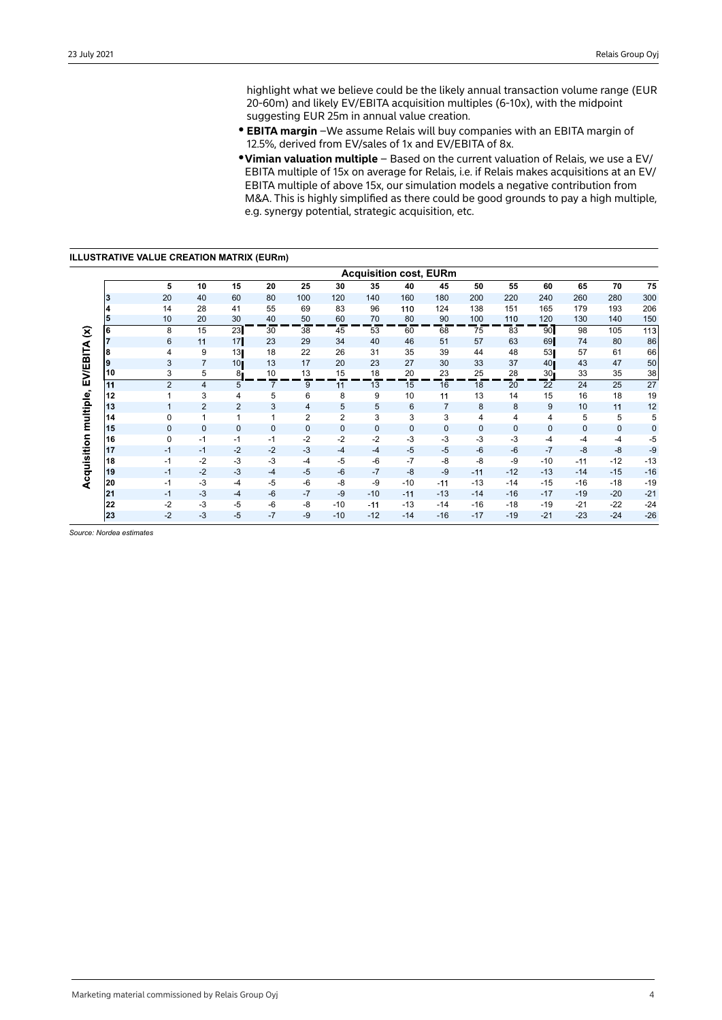highlight what we believe could be the likely annual transaction volume range (EUR 20-60m) and likely EV/EBITA acquisition multiples (6-10x), with the midpoint suggesting EUR 25m in annual value creation.

- **EBITA margin** -We assume Relais will buy companies with an EBITA margin of 12.5%, derived from EV/sales of 1x and EV/EBITA of 8x.
- y **Vimian valuation multiple**  Based on the current valuation of Relais, we use a EV/ EBITA multiple of 15x on average for Relais, i.e. if Relais makes acquisitions at an EV/ EBITA multiple of above 15x, our simulation models a negative contribution from M&A. This is highly simplified as there could be good grounds to pay a high multiple, e.g. synergy potential, strategic acquisition, etc.

**ILLUSTRATIVE VALUE CREATION MATRIX (EURm)**

|                        |          |              |                |                 |                |                |              |              |              | <b>Acquisition cost, EURm</b> |                |              |                 |                |                |                |
|------------------------|----------|--------------|----------------|-----------------|----------------|----------------|--------------|--------------|--------------|-------------------------------|----------------|--------------|-----------------|----------------|----------------|----------------|
|                        |          | 5            | 10             | 15              | 20             | 25             | 30           | 35           | 40           | 45                            | 50             | 55           | 60              | 65             | 70             | 75             |
|                        | 13       | 20           | 40             | 60              | 80             | 100            | 120          | 140          | 160          | 180                           | 200            | 220          | 240             | 260            | 280            | 300            |
|                        | 4        | 14           | 28             | 41              | 55             | 69             | 83           | 96           | 110          | 124                           | 138            | 151          | 165             | 179            | 193            | 206            |
| $\widehat{\mathbf{z}}$ | 5        | 10           | 20             | 30              | 40             | 50             | 60           | 70           | 80           | 90                            | 100            | 110          | 120             | 130            | 140            | 150            |
|                        | l6       | 8            | 15             | 23              | 30             | 38             | 45           | 53           | 60           | 68                            | 75             | 83           | 90              | 98             | 105            | 113            |
|                        |          | 6            | 11             | 17              | 23             | 29             | 34           | 40           | 46           | 51                            | 57             | 63           | 69              | 74             | 80             | 86             |
|                        | l8       | 4            | 9              | 13              | 18             | 22             | 26           | 31           | 35           | 39                            | 44             | 48           | 53              | 57             | 61             | 66             |
|                        | Ι9       | 3            | $\overline{7}$ | 10 <sub>l</sub> | 13             | 17             | 20           | 23           | 27           | 30                            | 33             | 37           | 40              | 43             | 47             | 50             |
|                        | 10       | 3            | 5              | 8.              | 10             | 13             | 15           | 18           | 20           | 23                            | 25             | 28           | 30 <sub>1</sub> | 33             | 35             | 38             |
|                        | 11       | 2            | $\overline{4}$ | 5               | $\overline{7}$ | 9              | 11           | 13           | 15           | 16                            | 18             | 20           | 22              | 24             | 25             | 27             |
|                        | 12       | 1            | 3              | 4               | 5              | 6              | 8            | 9            | 10           | 11                            | 13             | 14           | 15              | 16             | 18             | 19             |
|                        | 13       | $\mathbf{1}$ | $\overline{2}$ | $\overline{2}$  | 3              | 4              | 5            | 5            | 6            | $\overline{7}$                | 8              | 8            | 9               | 10             | 11             | 12             |
|                        | 14       | 0            | 1              | 1               | 1              | $\overline{2}$ | 2            | 3            | 3            | 3                             | $\overline{4}$ | 4            | 4               | 5              | 5              | 5              |
|                        | 15       | $\mathbf{0}$ | $\mathbf{0}$   | $\mathbf{0}$    | $\mathbf{0}$   | $\mathbf{0}$   | $\mathbf{0}$ | $\mathbf{0}$ | $\mathbf{0}$ | $\mathbf{0}$                  | $\mathbf{0}$   | $\mathbf{0}$ | $\mathbf{0}$    | $\mathbf{0}$   | $\mathbf 0$    | 0              |
|                        | 16       | $\mathbf 0$  | $-1$           | $-1$            | $-1$           | $-2$           | $-2$         | $-2$         | $-3$         | $-3$                          | $-3$           | $-3$         | $-4$            | $-4$           | $-4$           | $-5$           |
|                        | 17<br>18 | $-1$<br>$-1$ | $-1$<br>$-2$   | $-2$<br>$-3$    | $-2$<br>$-3$   | $-3$           | $-4$<br>$-5$ | $-4$<br>$-6$ | $-5$<br>$-7$ | $-5$<br>$-8$                  | $-6$<br>$-8$   | $-6$<br>$-9$ | $-7$<br>$-10$   | $-8$           | $-8$           | $-9$           |
|                        | 19       | $-1$         | $-2$           | $-3$            | $-4$           | $-4$<br>$-5$   | $-6$         | $-7$         | $-8$         | $-9$                          | $-11$          | $-12$        | $-13$           | $-11$<br>$-14$ | $-12$<br>$-15$ | $-13$<br>$-16$ |
|                        | 20       | $-1$         | $-3$           | $-4$            | $-5$           | $-6$           | -8           | $-9$         | $-10$        | $-11$                         | $-13$          | $-14$        | $-15$           | $-16$          | $-18$          | $-19$          |
|                        | 21       | $-1$         | $-3$           | $-4$            | $-6$           | $-7$           | -9           | $-10$        | $-11$        | $-13$                         | $-14$          | $-16$        | $-17$           | $-19$          | $-20$          | $-21$          |
|                        | 22       | $-2$         | -3             | $-5$            | $-6$           | -8             | $-10$        | $-11$        | $-13$        | $-14$                         | $-16$          | $-18$        | $-19$           | $-21$          | $-22$          | $-24$          |
|                        | 23       | $-2$         | -3             | $-5$            | $-7$           | $-9$           | $-10$        | $-12$        | $-14$        | $-16$                         | $-17$          | $-19$        | $-21$           | $-23$          | $-24$          | $-26$          |
|                        |          |              |                |                 |                |                |              |              |              |                               |                |              |                 |                |                |                |

*Source: Nordea estimates*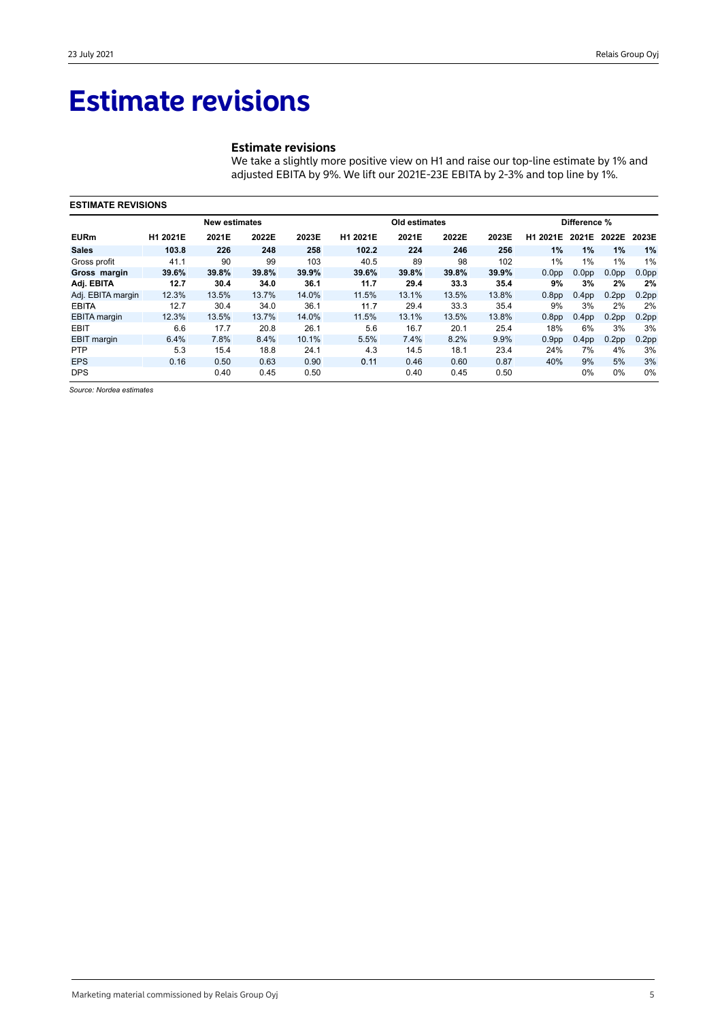## **Estimate revisions**

## **Estimate revisions**

We take a slightly more positive view on H1 and raise our top-line estimate by 1% and adjusted EBITA by 9%. We lift our 2021E-23E EBITA by 2-3% and top line by 1%.

|                     | <b>ESTIMATE REVISIONS</b> |                      |       |       |          |               |       |       |                   |                   |                   |                   |  |
|---------------------|---------------------------|----------------------|-------|-------|----------|---------------|-------|-------|-------------------|-------------------|-------------------|-------------------|--|
|                     |                           | <b>New estimates</b> |       |       |          | Old estimates |       |       |                   | Difference %      |                   |                   |  |
| <b>EURm</b>         | H1 2021E                  | 2021E                | 2022E | 2023E | H1 2021E | 2021E         | 2022E | 2023E | H1 2021E          |                   | 2021E 2022E 2023E |                   |  |
| <b>Sales</b>        | 103.8                     | 226                  | 248   | 258   | 102.2    | 224           | 246   | 256   | 1%                | 1%                | 1%                | 1%                |  |
| Gross profit        | 41.1                      | 90                   | 99    | 103   | 40.5     | 89            | 98    | 102   | 1%                | 1%                | 1%                | 1%                |  |
| Gross margin        | 39.6%                     | 39.8%                | 39.8% | 39.9% | 39.6%    | 39.8%         | 39.8% | 39.9% | 0.0 <sub>pp</sub> | 0.0 <sub>pp</sub> | 0.0 <sub>pp</sub> | 0.0 <sub>pp</sub> |  |
| Adj. EBITA          | 12.7                      | 30.4                 | 34.0  | 36.1  | 11.7     | 29.4          | 33.3  | 35.4  | 9%                | 3%                | 2%                | 2%                |  |
| Adj. EBITA margin   | 12.3%                     | 13.5%                | 13.7% | 14.0% | 11.5%    | 13.1%         | 13.5% | 13.8% | 0.8 <sub>pp</sub> | 0.4 <sub>pp</sub> | 0.2 <sub>pp</sub> | 0.2 <sub>pp</sub> |  |
| <b>EBITA</b>        | 12.7                      | 30.4                 | 34.0  | 36.1  | 11.7     | 29.4          | 33.3  | 35.4  | 9%                | 3%                | 2%                | 2%                |  |
| <b>EBITA</b> margin | 12.3%                     | 13.5%                | 13.7% | 14.0% | 11.5%    | 13.1%         | 13.5% | 13.8% | 0.8 <sub>pp</sub> | 0.4 <sub>pp</sub> | 0.2 <sub>pp</sub> | 0.2 <sub>pp</sub> |  |
| <b>EBIT</b>         | 6.6                       | 17.7                 | 20.8  | 26.1  | 5.6      | 16.7          | 20.1  | 25.4  | 18%               | 6%                | 3%                | 3%                |  |
| <b>EBIT</b> margin  | 6.4%                      | 7.8%                 | 8.4%  | 10.1% | 5.5%     | 7.4%          | 8.2%  | 9.9%  | 0.9 <sub>pp</sub> | 0.4 <sub>pp</sub> | 0.2 <sub>pp</sub> | 0.2 <sub>pp</sub> |  |
| <b>PTP</b>          | 5.3                       | 15.4                 | 18.8  | 24.1  | 4.3      | 14.5          | 18.1  | 23.4  | 24%               | 7%                | 4%                | 3%                |  |
| <b>EPS</b>          | 0.16                      | 0.50                 | 0.63  | 0.90  | 0.11     | 0.46          | 0.60  | 0.87  | 40%               | 9%                | 5%                | 3%                |  |
| <b>DPS</b>          |                           | 0.40                 | 0.45  | 0.50  |          | 0.40          | 0.45  | 0.50  |                   | $0\%$             | 0%                | 0%                |  |

*Source: Nordea estimates*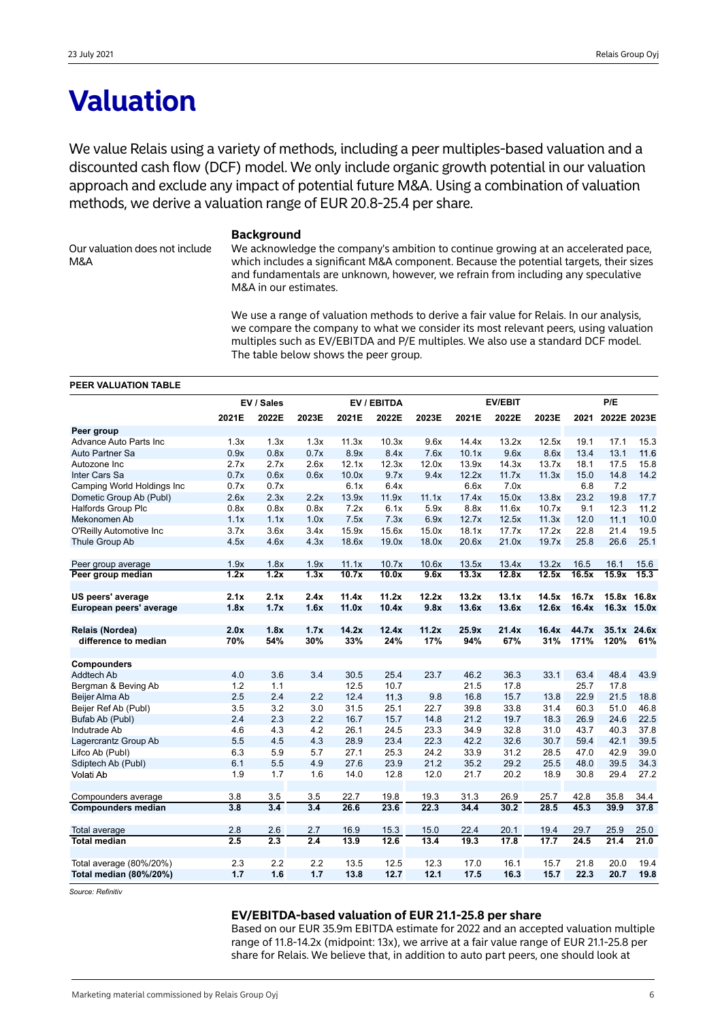## **Valuation**

We value Relais using a variety of methods, including a peer multiples-based valuation and a discounted cash flow (DCF) model. We only include organic growth potential in our valuation approach and exclude any impact of potential future M&A. Using a combination of valuation methods, we derive a valuation range of EUR 20.8-25.4 per share.

Our valuation does not include M&A

#### **Background**

We acknowledge the company's ambition to continue growing at an accelerated pace, which includes a significant M&A component. Because the potential targets, their sizes and fundamentals are unknown, however, we refrain from including any speculative M&A in our estimates.

We use a range of valuation methods to derive a fair value for Relais. In our analysis, we compare the company to what we consider its most relevant peers, using valuation multiples such as EV/EBITDA and P/E multiples. We also use a standard DCF model. The table below shows the peer group.

#### **PEER VALUATION TABLE**

|                                         |                   | EV / Sales  | EV / EBITDA |              |              |              |              | P/E          |              |               |             |                    |
|-----------------------------------------|-------------------|-------------|-------------|--------------|--------------|--------------|--------------|--------------|--------------|---------------|-------------|--------------------|
|                                         | 2021E             | 2022E       | 2023E       | 2021E        | 2022E        | 2023E        | 2021E        | 2022E        | 2023E        | 2021          | 2022E 2023E |                    |
| Peer group                              |                   |             |             |              |              |              |              |              |              |               |             |                    |
| Advance Auto Parts Inc                  | 1.3x              | 1.3x        | 1.3x        | 11.3x        | 10.3x        | 9.6x         | 14.4x        | 13.2x        | 12.5x        | 19.1          | 17.1        | 15.3               |
| Auto Partner Sa                         | 0.9x              | 0.8x        | 0.7x        | 8.9x         | 8.4x         | 7.6x         | 10.1x        | 9.6x         | 8.6x         | 13.4          | 13.1        | 11.6               |
| Autozone Inc                            | 2.7x              | 2.7x        | 2.6x        | 12.1x        | 12.3x        | 12.0x        | 13.9x        | 14.3x        | 13.7x        | 18.1          | 17.5        | 15.8               |
| Inter Cars Sa                           | 0.7x              | 0.6x        | 0.6x        | 10.0x        | 9.7x         | 9.4x         | 12.2x        | 11.7x        | 11.3x        | 15.0          | 14.8        | 14.2               |
| Camping World Holdings Inc              | 0.7x              | 0.7x        |             | 6.1x         | 6.4x         |              | 6.6x         | 7.0x         |              | 6.8           | 7.2         |                    |
| Dometic Group Ab (Publ)                 | 2.6x              | 2.3x        | 2.2x        | 13.9x        | 11.9x        | 11.1x        | 17.4x        | 15.0x        | 13.8x        | 23.2          | 19.8        | 17.7               |
| <b>Halfords Group Plc</b>               | 0.8x              | 0.8x        | 0.8x        | 7.2x         | 6.1x         | 5.9x         | 8.8x         | 11.6x        | 10.7x        | 9.1           | 12.3        | 11.2               |
| Mekonomen Ab                            | 1.1x              | 1.1x        | 1.0x        | 7.5x         | 7.3x         | 6.9x         | 12.7x        | 12.5x        | 11.3x        | 12.0          | 11.1        | 10.0               |
| O'Reilly Automotive Inc                 | 3.7x              | 3.6x        | 3.4x        | 15.9x        | 15.6x        | 15.0x        | 18.1x        | 17.7x        | 17.2x        | 22.8          | 21.4        | 19.5               |
| Thule Group Ab                          | 4.5x              | 4.6x        | 4.3x        | 18.6x        | 19.0x        | 18.0x        | 20.6x        | 21.0x        | 19.7x        | 25.8          | 26.6        | 25.1               |
| Peer group average                      | 1.9x              | 1.8x        | 1.9x        | 11.1x        | 10.7x        | 10.6x        | 13.5x        | 13.4x        | 13.2x        | 16.5          | 16.1        | 15.6               |
| Peer group median                       | $\overline{1.2x}$ | 1.2x        | 1.3x        | 10.7x        | 10.0x        | 9.6x         | 13.3x        | 12.8x        | 12.5x        | 16.5x         | 15.9x       | 15.3               |
| US peers' average                       | 2.1x              | 2.1x        | 2.4x        | 11.4x        | 11.2x        | 12.2x        | 13.2x        | 13.1x        | 14.5x        | 16.7x         |             | 15.8x 16.8x        |
| European peers' average                 | 1.8x              | 1.7x        | 1.6x        | 11.0x        | 10.4x        | 9.8x         | 13.6x        | 13.6x        | 12.6x        | 16.4x         |             | 16.3x 15.0x        |
|                                         |                   |             |             |              |              |              |              |              |              |               |             |                    |
| Relais (Nordea)<br>difference to median | 2.0x<br>70%       | 1.8x<br>54% | 1.7x<br>30% | 14.2x<br>33% | 12.4x<br>24% | 11.2x<br>17% | 25.9x<br>94% | 21.4x<br>67% | 16.4x<br>31% | 44.7x<br>171% | 120%        | 35.1x 24.6x<br>61% |
|                                         |                   |             |             |              |              |              |              |              |              |               |             |                    |
| Compounders                             |                   |             |             |              |              |              |              |              |              |               |             |                    |
| <b>Addtech Ab</b>                       | 4.0               | 3.6         | 3.4         | 30.5         | 25.4         | 23.7         | 46.2         | 36.3         | 33.1         | 63.4          | 48.4        | 43.9               |
| Bergman & Beving Ab                     | 1.2               | 1.1         |             | 12.5         | 10.7         |              | 21.5         | 17.8         |              | 25.7          | 17.8        |                    |
| Beijer Alma Ab                          | 2.5               | 2.4         | 2.2         | 12.4         | 11.3         | 9.8          | 16.8         | 15.7         | 13.8         | 22.9          | 21.5        | 18.8               |
| Beijer Ref Ab (Publ)                    | 3.5               | 3.2         | 3.0         | 31.5         | 25.1         | 22.7         | 39.8         | 33.8         | 31.4         | 60.3          | 51.0        | 46.8               |
| Bufab Ab (Publ)                         | 2.4               | 2.3         | 2.2         | 16.7         | 15.7         | 14.8         | 21.2         | 19.7         | 18.3         | 26.9          | 24.6        | 22.5               |
| Indutrade Ab                            | 4.6               | 4.3         | 4.2         | 26.1         | 24.5         | 23.3         | 34.9         | 32.8         | 31.0         | 43.7          | 40.3        | 37.8               |
| Lagercrantz Group Ab                    | 5.5               | 4.5         | 4.3         | 28.9         | 23.4         | 22.3         | 42.2         | 32.6         | 30.7         | 59.4          | 42.1        | 39.5               |
| Lifco Ab (Publ)                         | 6.3               | 5.9         | 5.7         | 27.1         | 25.3         | 24.2         | 33.9         | 31.2         | 28.5         | 47.0          | 42.9        | 39.0               |
| Sdiptech Ab (Publ)                      | 6.1               | 5.5         | 4.9         | 27.6         | 23.9         | 21.2         | 35.2         | 29.2         | 25.5         | 48.0          | 39.5        | 34.3               |
| Volati Ab                               | 1.9               | 1.7         | 1.6         | 14.0         | 12.8         | 12.0         | 21.7         | 20.2         | 18.9         | 30.8          | 29.4        | 27.2               |
| Compounders average                     | 3.8               | 3.5         | 3.5         | 22.7         | 19.8         | 19.3         | 31.3         | 26.9         | 25.7         | 42.8          | 35.8        | 34.4               |
| <b>Compounders median</b>               | $\overline{3.8}$  | 3.4         | 3.4         | 26.6         | 23.6         | 22.3         | 34.4         | 30.2         | 28.5         | 45.3          | 39.9        | 37.8               |
| Total average                           | 2.8               | 2.6         | 2.7         | 16.9         | 15.3         | 15.0         | 22.4         | 20.1         | 19.4         | 29.7          | 25.9        | 25.0               |
| <b>Total median</b>                     | 2.5               | 2.3         | 2.4         | 13.9         | 12.6         | 13.4         | 19.3         | 17.8         | 17.7         | 24.5          | 21.4        | 21.0               |
|                                         |                   |             |             |              |              |              |              |              |              |               |             |                    |
| Total average (80%/20%)                 | 2.3               | 2.2         | 2.2         | 13.5         | 12.5         | 12.3         | 17.0         | 16.1         | 15.7         | 21.8          | 20.0        | 19.4               |
| Total median (80%/20%)                  | 1.7               | 1.6         | 1.7         | 13.8         | 12.7         | 12.1         | 17.5         | 16.3         | 15.7         | 22.3          | 20.7        | 19.8               |

*Source: Refinitiv*

#### **EV/EBITDA-based valuation of EUR 21.1-25.8 per share**

Based on our EUR 35.9m EBITDA estimate for 2022 and an accepted valuation multiple range of 11.8-14.2x (midpoint: 13x), we arrive at a fair value range of EUR 21.1-25.8 per share for Relais. We believe that, in addition to auto part peers, one should look at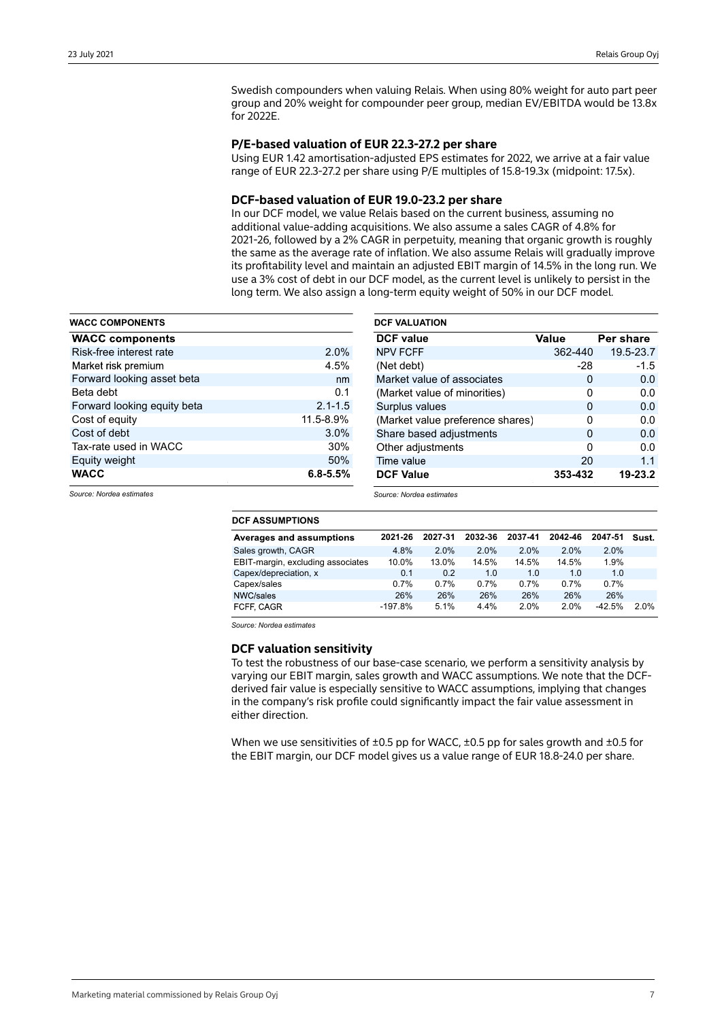Swedish compounders when valuing Relais. When using 80% weight for auto part peer group and 20% weight for compounder peer group, median EV/EBITDA would be 13.8x for 2022E.

### **P/E-based valuation of EUR 22.3-27.2 per share**

Using EUR 1.42 amortisation-adjusted EPS estimates for 2022, we arrive at a fair value range of EUR 22.3-27.2 per share using P/E multiples of 15.8-19.3x (midpoint: 17.5x).

### **DCF-based valuation of EUR 19.0-23.2 per share**

In our DCF model, we value Relais based on the current business, assuming no additional value-adding acquisitions. We also assume a sales CAGR of 4.8% for 2021-26, followed by a 2% CAGR in perpetuity, meaning that organic growth is roughly the same as the average rate of inflation. We also assume Relais will gradually improve its profitability level and maintain an adjusted EBIT margin of 14.5% in the long run. We use a 3% cost of debt in our DCF model, as the current level is unlikely to persist in the long term. We also assign a long-term equity weight of 50% in our DCF model.

| <b>WACC COMPONENTS</b>      |              |
|-----------------------------|--------------|
| <b>WACC components</b>      |              |
| Risk-free interest rate     | 2.0%         |
| Market risk premium         | 4.5%         |
| Forward looking asset beta  | nm           |
| Beta debt                   | 0.1          |
| Forward looking equity beta | $2.1 - 1.5$  |
| Cost of equity              | 11.5-8.9%    |
| Cost of debt                | 3.0%         |
| Tax-rate used in WACC       | 30%          |
| Equity weight               | 50%          |
| <b>WACC</b>                 | $6.8 - 5.5%$ |

| <b>DCF VALUATION</b>             |         |           |
|----------------------------------|---------|-----------|
| <b>DCF</b> value                 | Value   | Per share |
| <b>NPV FCFF</b>                  | 362-440 | 19.5-23.7 |
| (Net debt)                       | -28     | $-1.5$    |
| Market value of associates       | 0       | 0.0       |
| (Market value of minorities)     | O       | 0.0       |
| Surplus values                   | 0       | 0.0       |
| (Market value preference shares) | 0       | 0.0       |
| Share based adjustments          | 0       | 0.0       |
| Other adjustments                | 0       | 0.0       |
| Time value                       | 20      | 1.1       |
| <b>DCF Value</b>                 | 353-432 | 19-23.2   |

*Source: Nordea estimates*

| Averages and assumptions          | 2021-26   | 2027-31 | 2032-36 | 2037-41 | 2042-46 | 2047-51  | Sust. |
|-----------------------------------|-----------|---------|---------|---------|---------|----------|-------|
| Sales growth, CAGR                | 4.8%      | 2.0%    | 2.0%    | 2.0%    | 2.0%    | 2.0%     |       |
| EBIT-margin, excluding associates | 10.0%     | 13.0%   | 14.5%   | 14.5%   | 14.5%   | 1.9%     |       |
| Capex/depreciation, x             | 0.1       | 0.2     | 1.0     | 1.0     | 1.0     | 1.0      |       |
| Capex/sales                       | 0.7%      | 0.7%    | 0.7%    | 0.7%    | 0.7%    | 0.7%     |       |
| NWC/sales                         | 26%       | 26%     | 26%     | 26%     | 26%     | 26%      |       |
| FCFF, CAGR                        | $-197.8%$ | 5.1%    | 4.4%    | 2.0%    | 2.0%    | $-42.5%$ | 2.0%  |

*Source: Nordea estimates*

*Source: Nordea estimates*

## **DCF valuation sensitivity**

To test the robustness of our base-case scenario, we perform a sensitivity analysis by varying our EBIT margin, sales growth and WACC assumptions. We note that the DCFderived fair value is especially sensitive to WACC assumptions, implying that changes in the company's risk profile could significantly impact the fair value assessment in either direction.

When we use sensitivities of  $\pm 0.5$  pp for WACC,  $\pm 0.5$  pp for sales growth and  $\pm 0.5$  for the EBIT margin, our DCF model gives us a value range of EUR 18.8-24.0 per share.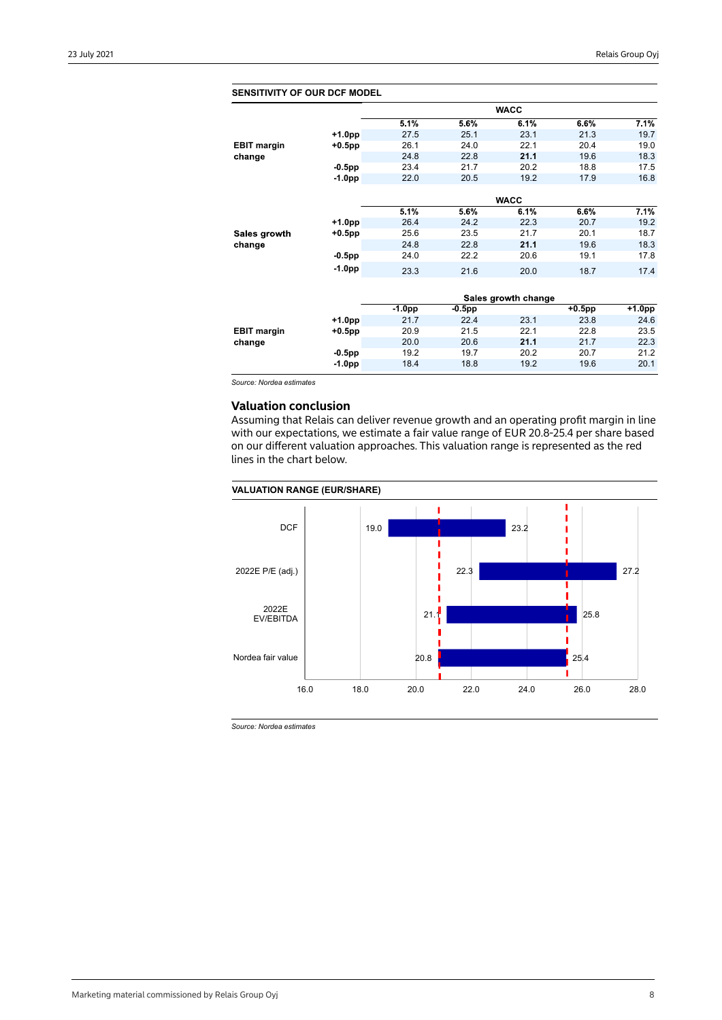| <b>SENSITIVITY OF OUR DCF MODEL</b> |           |          |           |                     |           |        |
|-------------------------------------|-----------|----------|-----------|---------------------|-----------|--------|
|                                     |           |          |           | <b>WACC</b>         |           |        |
|                                     |           | 5.1%     | 5.6%      | 6.1%                | 6.6%      | 7.1%   |
|                                     | +1.0pp    | 27.5     | 25.1      | 23.1                | 21.3      | 19.7   |
| <b>EBIT margin</b>                  | $+0.5$ pp | 26.1     | 24.0      | 22.1                | 20.4      | 19.0   |
| change                              |           | 24.8     | 22.8      | 21.1                | 19.6      | 18.3   |
|                                     | $-0.5$ pp | 23.4     | 21.7      | 20.2                | 18.8      | 17.5   |
|                                     | $-1.0pp$  | 22.0     | 20.5      | 19.2                | 17.9      | 16.8   |
|                                     |           |          |           |                     |           |        |
|                                     |           |          |           | <b>WACC</b>         |           |        |
|                                     |           | 5.1%     | 5.6%      | 6.1%                | 6.6%      | 7.1%   |
|                                     | $+1.0pp$  | 26.4     | 24.2      | 22.3                | 20.7      | 19.2   |
| Sales growth                        | $+0.5$ pp | 25.6     | 23.5      | 21.7                | 20.1      | 18.7   |
| change                              |           | 24.8     | 22.8      | 21.1                | 19.6      | 18.3   |
|                                     | $-0.5$ pp | 24.0     | 22.2      | 20.6                | 19.1      | 17.8   |
|                                     | $-1.0pp$  | 23.3     | 21.6      | 20.0                | 18.7      | 17.4   |
|                                     |           |          |           |                     |           |        |
|                                     |           |          |           | Sales growth change |           |        |
|                                     |           | $-1.0pp$ | $-0.5$ pp |                     | $+0.5$ pp | +1.0pp |
|                                     | $+1.0pp$  | 21.7     | 22.4      | 23.1                | 23.8      | 24.6   |
| <b>EBIT margin</b>                  | $+0.5$ pp | 20.9     | 21.5      | 22.1                | 22.8      | 23.5   |
| change                              |           | 20.0     | 20.6      | 21.1                | 21.7      | 22.3   |
|                                     | $-0.5$ pp | 19.2     | 19.7      | 20.2                | 20.7      | 21.2   |
|                                     | $-1.0pp$  | 18.4     | 18.8      | 19.2                | 19.6      | 20.1   |
|                                     |           |          |           |                     |           |        |

*Source: Nordea estimates*

## **Valuation conclusion**

Assuming that Relais can deliver revenue growth and an operating profit margin in line with our expectations, we estimate a fair value range of EUR 20.8-25.4 per share based on our different valuation approaches. This valuation range is represented as the red lines in the chart below.

### **VALUATION RANGE (EUR/SHARE)**



*Source: Nordea estimates*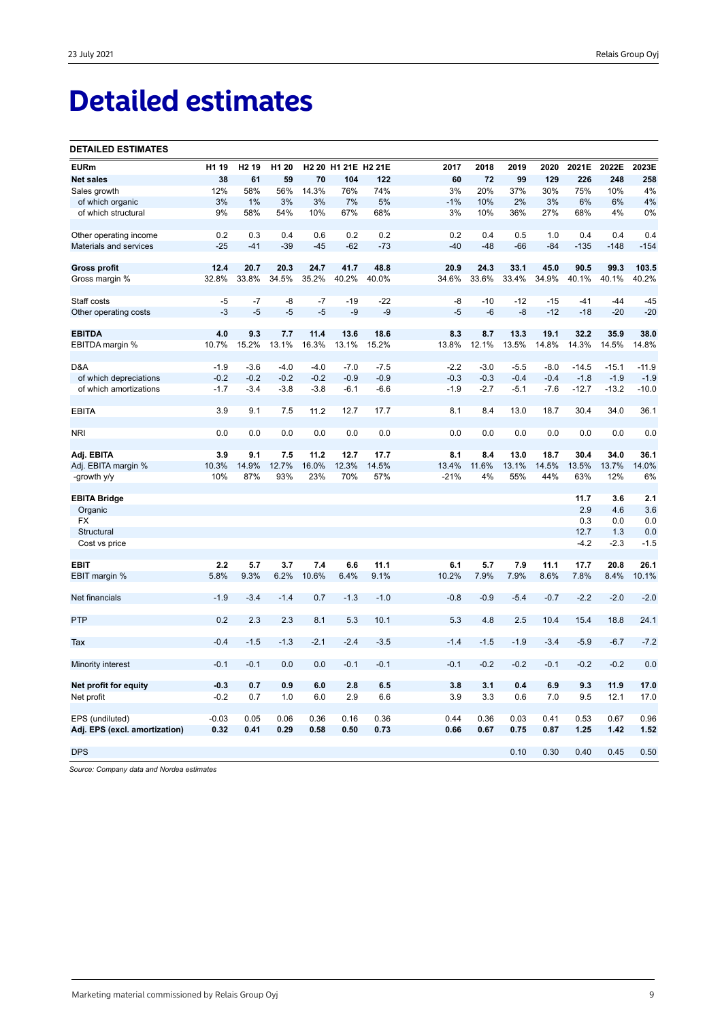## **Detailed estimates**

#### **DETAILED ESTIMATES**

| <b>EURm</b>                                      | H1 19        | H <sub>2</sub> 19 | H <sub>1</sub> 20 |               | H2 20 H1 21E H2 21E |               | 2017         | 2018         | 2019          | 2020          | 2021E         | 2022E         | 2023E         |
|--------------------------------------------------|--------------|-------------------|-------------------|---------------|---------------------|---------------|--------------|--------------|---------------|---------------|---------------|---------------|---------------|
| <b>Net sales</b>                                 | 38           | 61                | 59                | 70            | 104                 | 122           | 60           | 72           | 99            | 129           | 226           | 248           | 258           |
| Sales growth                                     | 12%          | 58%               | 56%               | 14.3%         | 76%                 | 74%           | 3%           | 20%          | 37%           | 30%           | 75%           | 10%           | 4%            |
| of which organic                                 | 3%           | 1%                | 3%                | 3%            | 7%                  | 5%            | $-1%$        | 10%          | 2%            | 3%            | 6%            | 6%            | 4%            |
| of which structural                              | 9%           | 58%               | 54%               | 10%           | 67%                 | 68%           | 3%           | 10%          | 36%           | 27%           | 68%           | 4%            | 0%            |
|                                                  |              |                   |                   |               |                     |               |              |              |               |               |               |               |               |
| Other operating income                           | 0.2          | 0.3               | 0.4               | 0.6           | 0.2                 | 0.2           | 0.2          | 0.4          | 0.5           | 1.0           | 0.4           | 0.4           | 0.4           |
| Materials and services                           | $-25$        | $-41$             | $-39$             | $-45$         | $-62$               | $-73$         | $-40$        | $-48$        | $-66$         | $-84$         | $-135$        | $-148$        | $-154$        |
|                                                  |              |                   |                   |               |                     |               |              |              |               |               |               |               |               |
| Gross profit                                     | 12.4         | 20.7              | 20.3              | 24.7          | 41.7                | 48.8          | 20.9         | 24.3         | 33.1          | 45.0          | 90.5          | 99.3          | 103.5         |
| Gross margin %                                   | 32.8%        | 33.8%             | 34.5%             | 35.2%         | 40.2%               | 40.0%         | 34.6%        | 33.6%        | 33.4%         | 34.9%         | 40.1%         | 40.1%         | 40.2%         |
|                                                  |              |                   |                   |               |                     |               |              |              |               |               |               |               |               |
| Staff costs                                      | $-5$         | $-7$              | -8                | $-7$          | $-19$               | $-22$         | -8           | $-10$        | $-12$         | $-15$         | $-41$         | $-44$         | $-45$         |
| Other operating costs                            | $-3$         | $-5$              | $-5$              | $-5$          | $-9$                | $-9$          | $-5$         | $-6$         | $-8$          | $-12$         | $-18$         | $-20$         | $-20$         |
|                                                  |              |                   |                   |               |                     |               |              |              |               |               |               |               |               |
| <b>EBITDA</b>                                    | 4.0<br>10.7% | 9.3<br>15.2%      | 7.7<br>13.1%      | 11.4<br>16.3% | 13.6<br>13.1%       | 18.6<br>15.2% | 8.3<br>13.8% | 8.7<br>12.1% | 13.3<br>13.5% | 19.1<br>14.8% | 32.2<br>14.3% | 35.9<br>14.5% | 38.0<br>14.8% |
| EBITDA margin %                                  |              |                   |                   |               |                     |               |              |              |               |               |               |               |               |
| D&A                                              | $-1.9$       | $-3.6$            | $-4.0$            | $-4.0$        | $-7.0$              | $-7.5$        | $-2.2$       | $-3.0$       | $-5.5$        | $-8.0$        | $-14.5$       | $-15.1$       | $-11.9$       |
| of which depreciations                           | $-0.2$       | $-0.2$            | $-0.2$            | $-0.2$        | $-0.9$              | $-0.9$        | $-0.3$       | $-0.3$       | $-0.4$        | $-0.4$        | $-1.8$        | $-1.9$        | $-1.9$        |
| of which amortizations                           | $-1.7$       | $-3.4$            | $-3.8$            | $-3.8$        | $-6.1$              | $-6.6$        | -1.9         | $-2.7$       | $-5.1$        | $-7.6$        | $-12.7$       | $-13.2$       | $-10.0$       |
|                                                  |              |                   |                   |               |                     |               |              |              |               |               |               |               |               |
| <b>EBITA</b>                                     | 3.9          | 9.1               | 7.5               | 11.2          | 12.7                | 17.7          | 8.1          | 8.4          | 13.0          | 18.7          | 30.4          | 34.0          | 36.1          |
|                                                  |              |                   |                   |               |                     |               |              |              |               |               |               |               |               |
| <b>NRI</b>                                       | 0.0          | 0.0               | 0.0               | 0.0           | 0.0                 | 0.0           | 0.0          | 0.0          | 0.0           | 0.0           | 0.0           | 0.0           | 0.0           |
|                                                  |              |                   |                   |               |                     |               |              |              |               |               |               |               |               |
| Adj. EBITA                                       | 3.9          | 9.1               | 7.5               | 11.2          | 12.7                | 17.7          | 8.1          | 8.4          | 13.0          | 18.7          | 30.4          | 34.0          | 36.1          |
| Adj. EBITA margin %                              | 10.3%        | 14.9%             | 12.7%             | 16.0%         | 12.3%               | 14.5%         | 13.4%        | 11.6%        | 13.1%         | 14.5%         | 13.5%         | 13.7%         | 14.0%         |
| -growth y/y                                      | 10%          | 87%               | 93%               | 23%           | 70%                 | 57%           | $-21%$       | 4%           | 55%           | 44%           | 63%           | 12%           | 6%            |
|                                                  |              |                   |                   |               |                     |               |              |              |               |               |               |               |               |
| <b>EBITA Bridge</b>                              |              |                   |                   |               |                     |               |              |              |               |               | 11.7          | 3.6           | 2.1           |
| Organic                                          |              |                   |                   |               |                     |               |              |              |               |               | 2.9           | 4.6           | 3.6           |
| FX<br>Structural                                 |              |                   |                   |               |                     |               |              |              |               |               | 0.3<br>12.7   | 0.0<br>1.3    | 0.0<br>0.0    |
| Cost vs price                                    |              |                   |                   |               |                     |               |              |              |               |               | $-4.2$        | $-2.3$        | $-1.5$        |
|                                                  |              |                   |                   |               |                     |               |              |              |               |               |               |               |               |
| <b>EBIT</b>                                      | 2.2          | 5.7               | 3.7               | 7.4           | 6.6                 | 11.1          | 6.1          | 5.7          | 7.9           | 11.1          | 17.7          | 20.8          | 26.1          |
| EBIT margin %                                    | 5.8%         | 9.3%              | 6.2%              | 10.6%         | 6.4%                | 9.1%          | 10.2%        | 7.9%         | 7.9%          | 8.6%          | 7.8%          | 8.4%          | 10.1%         |
|                                                  |              |                   |                   |               |                     |               |              |              |               |               |               |               |               |
| Net financials                                   | $-1.9$       | $-3.4$            | $-1.4$            | 0.7           | $-1.3$              | $-1.0$        | $-0.8$       | $-0.9$       | $-5.4$        | $-0.7$        | $-2.2$        | $-2.0$        | $-2.0$        |
|                                                  |              |                   |                   |               |                     |               |              |              |               |               |               |               |               |
| PTP                                              | 0.2          | 2.3               | 2.3               | 8.1           | 5.3                 | 10.1          | 5.3          | 4.8          | 2.5           | 10.4          | 15.4          | 18.8          | 24.1          |
|                                                  |              |                   |                   |               |                     |               |              |              |               |               |               |               |               |
| Tax                                              | $-0.4$       | $-1.5$            | $-1.3$            | $-2.1$        | $-2.4$              | $-3.5$        | $-1.4$       | $-1.5$       | $-1.9$        | $-3.4$        | $-5.9$        | $-6.7$        | $-7.2$        |
|                                                  |              |                   |                   |               |                     |               |              |              |               |               |               |               |               |
| Minority interest                                | $-0.1$       | $-0.1$            | 0.0               | 0.0           | $-0.1$              | $-0.1$        | $-0.1$       | $-0.2$       | $-0.2$        | $-0.1$        | $-0.2$        | $-0.2$        | 0.0           |
|                                                  |              |                   |                   |               |                     |               |              |              |               |               |               |               |               |
| Net profit for equity                            | $-0.3$       | 0.7               | 0.9               | 6.0           | 2.8                 | 6.5           | 3.8          | 3.1          | 0.4           | 6.9           | 9.3           | 11.9          | 17.0          |
| Net profit                                       | $-0.2$       | 0.7               | 1.0               | 6.0           | 2.9                 | 6.6           | 3.9          | 3.3          | 0.6           | 7.0           | 9.5           | 12.1          | 17.0          |
|                                                  | $-0.03$      | 0.05              | 0.06              | 0.36          | 0.16                | 0.36          | 0.44         | 0.36         | 0.03          | 0.41          | 0.53          | 0.67          | 0.96          |
| EPS (undiluted)<br>Adj. EPS (excl. amortization) | 0.32         | 0.41              | 0.29              | 0.58          | 0.50                | 0.73          | 0.66         | 0.67         | 0.75          | 0.87          | 1.25          | 1.42          | 1.52          |
|                                                  |              |                   |                   |               |                     |               |              |              |               |               |               |               |               |
| <b>DPS</b>                                       |              |                   |                   |               |                     |               |              |              | 0.10          | 0.30          | 0.40          | 0.45          | 0.50          |
|                                                  |              |                   |                   |               |                     |               |              |              |               |               |               |               |               |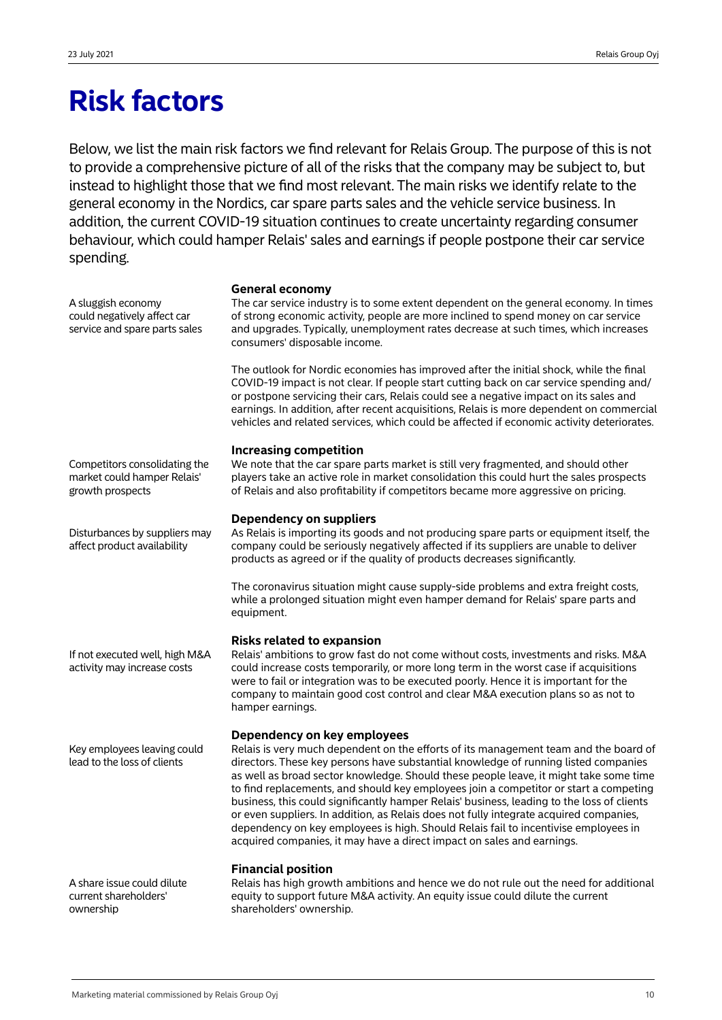# **Risk factors**

Below, we list the main risk factors we find relevant for Relais Group. The purpose of this is not to provide a comprehensive picture of all of the risks that the company may be subject to, but instead to highlight those that we find most relevant. The main risks we identify relate to the general economy in the Nordics, car spare parts sales and the vehicle service business. In addition, the current COVID-19 situation continues to create uncertainty regarding consumer behaviour, which could hamper Relais' sales and earnings if people postpone their car service spending.

**General economy**

| A sluggish economy<br>could negatively affect car<br>service and spare parts sales | General economy<br>The car service industry is to some extent dependent on the general economy. In times<br>of strong economic activity, people are more inclined to spend money on car service<br>and upgrades. Typically, unemployment rates decrease at such times, which increases<br>consumers' disposable income.<br>The outlook for Nordic economies has improved after the initial shock, while the final<br>COVID-19 impact is not clear. If people start cutting back on car service spending and/<br>or postpone servicing their cars, Relais could see a negative impact on its sales and<br>earnings. In addition, after recent acquisitions, Relais is more dependent on commercial<br>vehicles and related services, which could be affected if economic activity deteriorates. |
|------------------------------------------------------------------------------------|------------------------------------------------------------------------------------------------------------------------------------------------------------------------------------------------------------------------------------------------------------------------------------------------------------------------------------------------------------------------------------------------------------------------------------------------------------------------------------------------------------------------------------------------------------------------------------------------------------------------------------------------------------------------------------------------------------------------------------------------------------------------------------------------|
| Competitors consolidating the<br>market could hamper Relais'<br>growth prospects   | <b>Increasing competition</b><br>We note that the car spare parts market is still very fragmented, and should other<br>players take an active role in market consolidation this could hurt the sales prospects<br>of Relais and also profitability if competitors became more aggressive on pricing.                                                                                                                                                                                                                                                                                                                                                                                                                                                                                           |
| Disturbances by suppliers may<br>affect product availability                       | <b>Dependency on suppliers</b><br>As Relais is importing its goods and not producing spare parts or equipment itself, the<br>company could be seriously negatively affected if its suppliers are unable to deliver<br>products as agreed or if the quality of products decreases significantly.                                                                                                                                                                                                                                                                                                                                                                                                                                                                                                |
|                                                                                    | The coronavirus situation might cause supply-side problems and extra freight costs,<br>while a prolonged situation might even hamper demand for Relais' spare parts and<br>equipment.                                                                                                                                                                                                                                                                                                                                                                                                                                                                                                                                                                                                          |
| If not executed well, high M&A<br>activity may increase costs                      | <b>Risks related to expansion</b><br>Relais' ambitions to grow fast do not come without costs, investments and risks. M&A<br>could increase costs temporarily, or more long term in the worst case if acquisitions<br>were to fail or integration was to be executed poorly. Hence it is important for the<br>company to maintain good cost control and clear M&A execution plans so as not to<br>hamper earnings.                                                                                                                                                                                                                                                                                                                                                                             |
| Key employees leaving could<br>lead to the loss of clients                         | Dependency on key employees<br>Relais is very much dependent on the efforts of its management team and the board of<br>directors. These key persons have substantial knowledge of running listed companies<br>as well as broad sector knowledge. Should these people leave, it might take some time<br>to find replacements, and should key employees join a competitor or start a competing<br>business, this could significantly hamper Relais' business, leading to the loss of clients<br>or even suppliers. In addition, as Relais does not fully integrate acquired companies,<br>dependency on key employees is high. Should Relais fail to incentivise employees in<br>acquired companies, it may have a direct impact on sales and earnings.                                          |
| A share issue could dilute<br>current shareholders'<br>ownership                   | <b>Financial position</b><br>Relais has high growth ambitions and hence we do not rule out the need for additional<br>equity to support future M&A activity. An equity issue could dilute the current<br>shareholders' ownership.                                                                                                                                                                                                                                                                                                                                                                                                                                                                                                                                                              |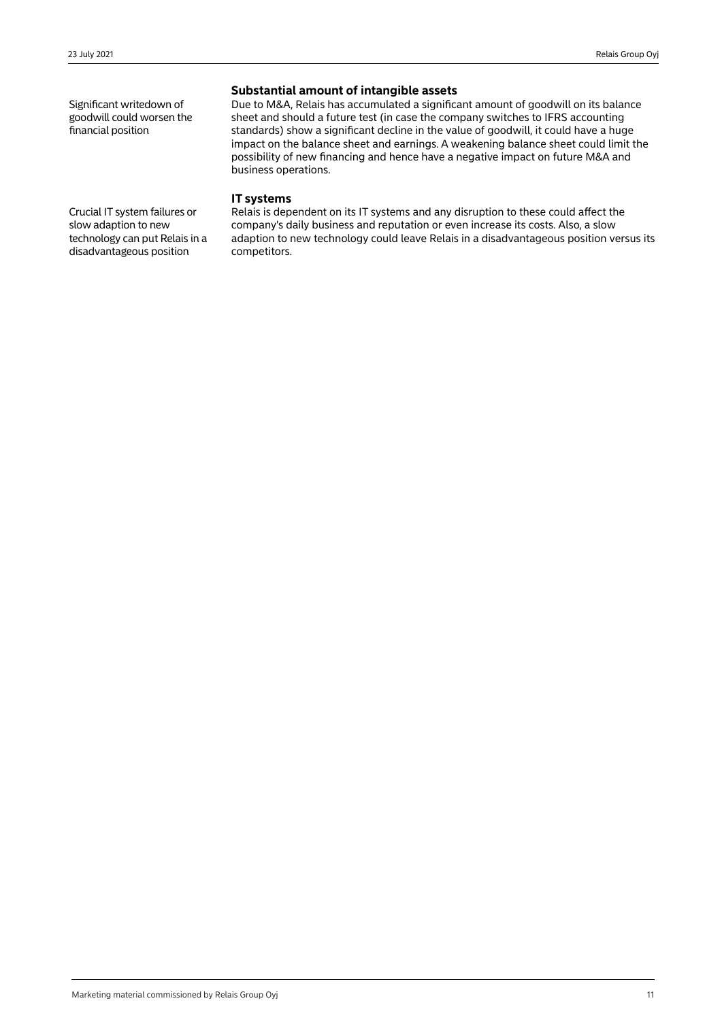Significant writedown of goodwill could worsen the financial position

## **Substantial amount of intangible assets**

Due to M&A, Relais has accumulated a significant amount of goodwill on its balance sheet and should a future test (in case the company switches to IFRS accounting standards) show a significant decline in the value of goodwill, it could have a huge impact on the balance sheet and earnings. A weakening balance sheet could limit the possibility of new financing and hence have a negative impact on future M&A and business operations.

### **IT systems**

Relais is dependent on its IT systems and any disruption to these could affect the company's daily business and reputation or even increase its costs. Also, a slow adaption to new technology could leave Relais in a disadvantageous position versus its competitors.

Crucial IT system failures or slow adaption to new technology can put Relais in a disadvantageous position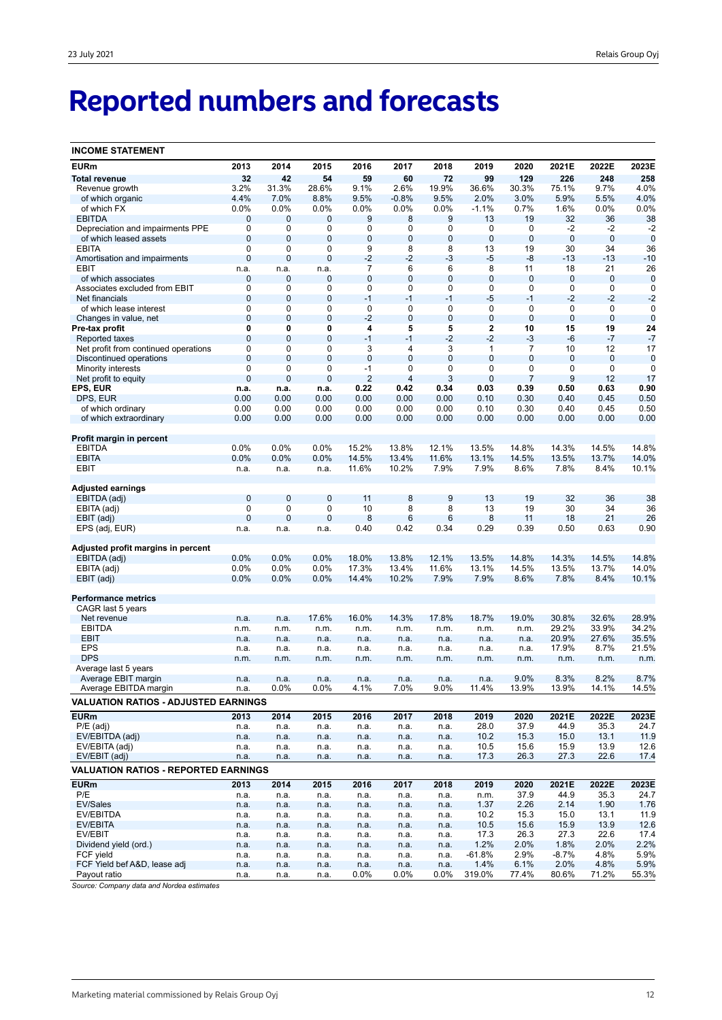# **Reported numbers and forecasts**

| <b>INCOME STATEMENT</b>                         |                  |                  |                |                |                     |                |                   |                |                |                            |                |
|-------------------------------------------------|------------------|------------------|----------------|----------------|---------------------|----------------|-------------------|----------------|----------------|----------------------------|----------------|
| <b>EURm</b>                                     | 2013             | 2014             | 2015           | 2016           | 2017                | 2018           | 2019              | 2020           | 2021E          | 2022E                      | 2023E          |
| <b>Total revenue</b>                            | 32               | 42               | 54             | 59             | 60                  | 72             | 99                | 129            | 226            | 248                        | 258            |
| Revenue growth                                  | 3.2%             | 31.3%            | 28.6%          | 9.1%           | 2.6%                | 19.9%          | 36.6%             | 30.3%          | 75.1%          | 9.7%                       | 4.0%           |
| of which organic                                | 4.4%             | 7.0%             | 8.8%           | 9.5%           | $-0.8%$             | 9.5%           | 2.0%              | 3.0%           | 5.9%           | 5.5%                       | 4.0%           |
| of which FX                                     | 0.0%             | 0.0%             | 0.0%           | 0.0%           | 0.0%                | 0.0%           | $-1.1%$           | 0.7%           | 1.6%           | 0.0%                       | 0.0%           |
| <b>EBITDA</b>                                   | 0                | $\mathbf{0}$     | 0              | 9              | 8                   | 9              | 13                | 19             | 32             | 36                         | 38             |
| Depreciation and impairments PPE                | 0                | 0                | 0              | 0              | 0                   | 0              | 0                 | 0              | -2             | $-2$                       | $-2$           |
| of which leased assets                          | $\mathbf{0}$     | $\mathbf{0}$     | 0              | 0              | 0                   | $\bf 0$        | $\bf 0$           | $\mathbf 0$    | $\bf 0$        | $\mathbf 0$                | $\mathbf 0$    |
| <b>EBITA</b>                                    | $\mathbf 0$      | 0                | 0              | 9              | 8                   | 8              | 13                | 19             | 30             | 34                         | 36             |
| Amortisation and impairments                    | $\mathbf 0$      | $\mathbf 0$      | $\mathbf 0$    | $-2$           | $-2$                | $-3$           | $-5$              | -8             | $-13$          | $-13$                      | $-10$          |
| EBIT                                            | n.a.             | n.a.             | n.a.           | 7              | 6<br>$\overline{0}$ | 6              | 8                 | 11             | 18             | 21                         | 26             |
| of which associates                             | 0<br>$\mathbf 0$ | 0                | 0<br>0         | 0              | 0                   | $\bf 0$<br>0   | $\mathbf{0}$<br>0 | $\mathbf 0$    | 0              | $\mathbf 0$<br>$\mathbf 0$ | $\mathbf 0$    |
| Associates excluded from EBIT<br>Net financials | $\mathbf 0$      | 0<br>$\mathbf 0$ | $\mathbf 0$    | 0<br>$-1$      | $-1$                | $-1$           | $-5$              | 0<br>$-1$      | 0<br>$-2$      | $-2$                       | 0<br>$-2$      |
| of which lease interest                         | 0                | 0                | 0              | 0              | 0                   | 0              | 0                 | $\mathbf 0$    | 0              | $\mathbf 0$                | $\mathbf 0$    |
| Changes in value, net                           | $\mathbf 0$      | $\mathbf 0$      | $\mathbf 0$    | $-2$           | $\mathbf 0$         | $\mathbf 0$    | $\mathbf 0$       | $\overline{0}$ | $\mathbf 0$    | $\mathbf 0$                | $\mathbf 0$    |
| Pre-tax profit                                  | 0                | 0                | 0              | 4              | 5                   | 5              | 2                 | 10             | 15             | 19                         | 24             |
| Reported taxes                                  | $\overline{0}$   | $\mathbf 0$      | $\mathbf 0$    | $-1$           | $-1$                | $-2$           | $-2$              | $-3$           | -6             | $-7$                       | $-7$           |
| Net profit from continued operations            | 0                | 0                | 0              | 3              | 4                   | 3              | 1                 | $\overline{7}$ | 10             | 12                         | 17             |
| Discontinued operations                         | $\mathbf{0}$     | $\overline{0}$   | $\overline{0}$ | $\mathbf 0$    | $\overline{0}$      | $\overline{0}$ | $\overline{0}$    | $\mathbf{0}$   | 0              | $\mathbf 0$                | $\mathbf 0$    |
| Minority interests                              | $\mathbf 0$      | 0                | 0              | $-1$           | 0                   | 0              | 0                 | 0              | 0              | $\mathbf 0$                | 0              |
| Net profit to equity                            | $\overline{0}$   | $\mathbf 0$      | $\mathbf 0$    | $\overline{2}$ | 4                   | 3              | $\overline{0}$    | $\overline{7}$ | 9              | 12                         | 17             |
| EPS, EUR                                        | n.a.             | n.a.             | n.a.           | 0.22           | 0.42                | 0.34           | 0.03              | 0.39           | 0.50           | 0.63                       | 0.90           |
| DPS, EUR                                        | 0.00             | 0.00             | 0.00           | 0.00           | 0.00                | 0.00           | 0.10              | 0.30           | 0.40           | 0.45                       | 0.50           |
| of which ordinary                               | 0.00             | 0.00             | 0.00           | 0.00           | 0.00                | 0.00           | 0.10              | 0.30           | 0.40           | 0.45                       | 0.50           |
| of which extraordinary                          | 0.00             | 0.00             | 0.00           | 0.00           | 0.00                | 0.00           | 0.00              | 0.00           | 0.00           | 0.00                       | 0.00           |
|                                                 |                  |                  |                |                |                     |                |                   |                |                |                            |                |
| Profit margin in percent<br><b>EBITDA</b>       | 0.0%             | 0.0%             | 0.0%           | 15.2%          | 13.8%               | 12.1%          | 13.5%             | 14.8%          | 14.3%          | 14.5%                      | 14.8%          |
| <b>EBITA</b>                                    | 0.0%             | 0.0%             | 0.0%           | 14.5%          | 13.4%               | 11.6%          | 13.1%             | 14.5%          | 13.5%          | 13.7%                      | 14.0%          |
| EBIT                                            | n.a.             | n.a.             | n.a.           | 11.6%          | 10.2%               | 7.9%           | 7.9%              | 8.6%           | 7.8%           | 8.4%                       | 10.1%          |
|                                                 |                  |                  |                |                |                     |                |                   |                |                |                            |                |
| Adjusted earnings                               |                  |                  |                |                |                     |                |                   |                |                |                            |                |
| EBITDA (adj)                                    | $\mathbf{0}$     | $\mathbf 0$      | $\bf{0}$       | 11             | 8                   | $9\,$          | 13                | 19             | 32             | 36                         | 38             |
| EBITA (adj)                                     | 0                | 0                | 0              | 10             | 8                   | 8              | 13                | 19             | 30             | 34                         | 36             |
| EBIT (adj)                                      | $\overline{0}$   | $\overline{0}$   | $\mathbf 0$    | 8              | 6                   | 6              | 8                 | 11             | 18             | 21                         | 26             |
| EPS (adj, EUR)                                  | n.a.             | n.a.             | n.a.           | 0.40           | 0.42                | 0.34           | 0.29              | 0.39           | 0.50           | 0.63                       | 0.90           |
| Adjusted profit margins in percent              |                  |                  |                |                |                     |                |                   |                |                |                            |                |
| EBITDA (adj)                                    | 0.0%             | 0.0%             | 0.0%           | 18.0%          | 13.8%               | 12.1%          | 13.5%             | 14.8%          | 14.3%          | 14.5%                      | 14.8%          |
| EBITA (adj)                                     | 0.0%             | 0.0%             | 0.0%           | 17.3%          | 13.4%               | 11.6%          | 13.1%             | 14.5%          | 13.5%          | 13.7%                      | 14.0%          |
| EBIT (adj)                                      | 0.0%             | 0.0%             | 0.0%           | 14.4%          | 10.2%               | 7.9%           | 7.9%              | 8.6%           | 7.8%           | 8.4%                       | 10.1%          |
|                                                 |                  |                  |                |                |                     |                |                   |                |                |                            |                |
| <b>Performance metrics</b>                      |                  |                  |                |                |                     |                |                   |                |                |                            |                |
| CAGR last 5 years                               |                  |                  |                |                |                     |                |                   |                |                |                            |                |
| Net revenue                                     | n.a.             | n.a.             | 17.6%          | 16.0%          | 14.3%               | 17.8%          | 18.7%             | 19.0%          | 30.8%          | 32.6%                      | 28.9%          |
| <b>EBITDA</b><br><b>EBIT</b>                    | n.m.             | n.m.             | n.m.           | n.m.           | n.m.                | n.m.           | n.m.              | n.m.           | 29.2%          | 33.9%<br>27.6%             | 34.2%          |
| <b>EPS</b>                                      | n.a.             | n.a.<br>n.a.     | n.a.           | n.a.           | n.a.                | n.a.           | n.a.<br>n.a.      | n.a.<br>n.a.   | 20.9%<br>17.9% | 8.7%                       | 35.5%<br>21.5% |
| <b>DPS</b>                                      | n.a.<br>n.m.     | n.m.             | n.a.<br>n.m.   | n.a.<br>n.m.   | n.a.<br>n.m.        | n.a.<br>n.m.   | n.m.              | n.m.           | n.m.           | n.m.                       | n.m.           |
| Average last 5 years                            |                  |                  |                |                |                     |                |                   |                |                |                            |                |
| Average EBIT margin                             | n.a.             | n.a.             | n.a.           | n.a.           | n.a.                | n.a.           | n.a.              | 9.0%           | 8.3%           | 8.2%                       | 8.7%           |
| Average EBITDA margin                           | n.a.             | 0.0%             | $0.0\%$        | 4.1%           | 7.0%                | 9.0%           | 11.4%             | 13.9%          | 13.9%          | 14.1%                      | 14.5%          |
| <b>VALUATION RATIOS - ADJUSTED EARNINGS</b>     |                  |                  |                |                |                     |                |                   |                |                |                            |                |
| <b>EURm</b>                                     | 2013             | 2014             | 2015           | 2016           | 2017                | 2018           | 2019              | 2020           | 2021E          | 2022E                      | 2023E          |
| $P/E$ (adj)                                     | n.a.             | n.a.             | n.a.           | n.a.           | n.a.                | n.a.           | 28.0              | 37.9           | 44.9           | 35.3                       | 24.7           |
| EV/EBITDA (adj)                                 | n.a.             | n.a.             | n.a.           | n.a.           | n.a.                | n.a.           | 10.2              | 15.3           | 15.0           | 13.1                       | 11.9           |
| EV/EBITA (adj)                                  | n.a.             | n.a.             | n.a.           | n.a.           | n.a.                | n.a.           | 10.5              | 15.6           | 15.9           | 13.9                       | 12.6           |
| EV/EBIT (adj)                                   | n.a.             | n.a.             | n.a.           | n.a.           | n.a.                | n.a.           | 17.3              | 26.3           | 27.3           | 22.6                       | 17.4           |
| <b>VALUATION RATIOS - REPORTED EARNINGS</b>     |                  |                  |                |                |                     |                |                   |                |                |                            |                |
| <b>EURm</b>                                     | 2013             | 2014             | 2015           | 2016           | 2017                | 2018           | 2019              | 2020           | 2021E          | 2022E                      | 2023E          |
| P/E                                             | n.a.             | n.a.             | n.a.           | n.a.           | n.a.                | n.a.           | n.m.              | 37.9           | 44.9           | 35.3                       | 24.7           |
| EV/Sales                                        | n.a.             | n.a.             | n.a.           | n.a.           | n.a.                | n.a.           | 1.37              | 2.26           | 2.14           | 1.90                       | 1.76           |
| EV/EBITDA                                       | n.a.             | n.a.             | n.a.           | n.a.           | n.a.                | n.a.           | 10.2              | 15.3           | 15.0           | 13.1                       | 11.9           |
| EV/EBITA                                        | n.a.             | n.a.             | n.a.           | n.a.           | n.a.                | n.a.           | 10.5              | 15.6           | 15.9           | 13.9                       | 12.6           |
| EV/EBIT                                         | n.a.             | n.a.             | n.a.           | n.a.           | n.a.                | n.a.           | 17.3              | 26.3           | 27.3           | 22.6                       | 17.4           |
| Dividend yield (ord.)                           | n.a.             | n.a.             | n.a.           | n.a.           | n.a.                | n.a.           | 1.2%              | 2.0%           | 1.8%           | 2.0%                       | 2.2%           |
| FCF yield                                       | n.a.             | n.a.             | n.a.           | n.a.           | n.a.                | n.a.           | $-61.8%$          | 2.9%           | $-8.7%$        | 4.8%                       | 5.9%           |
| FCF Yield bef A&D, lease adj                    | n.a.             | n.a.             | n.a.           | n.a.           | n.a.                | n.a.           | 1.4%              | 6.1%           | 2.0%           | 4.8%                       | 5.9%           |
| Payout ratio                                    | n.a.             | n.a.             | n.a.           | $0.0\%$        | $0.0\%$             | $0.0\%$        | 319.0%            | 77.4%          | 80.6%          | 71.2%                      | 55.3%          |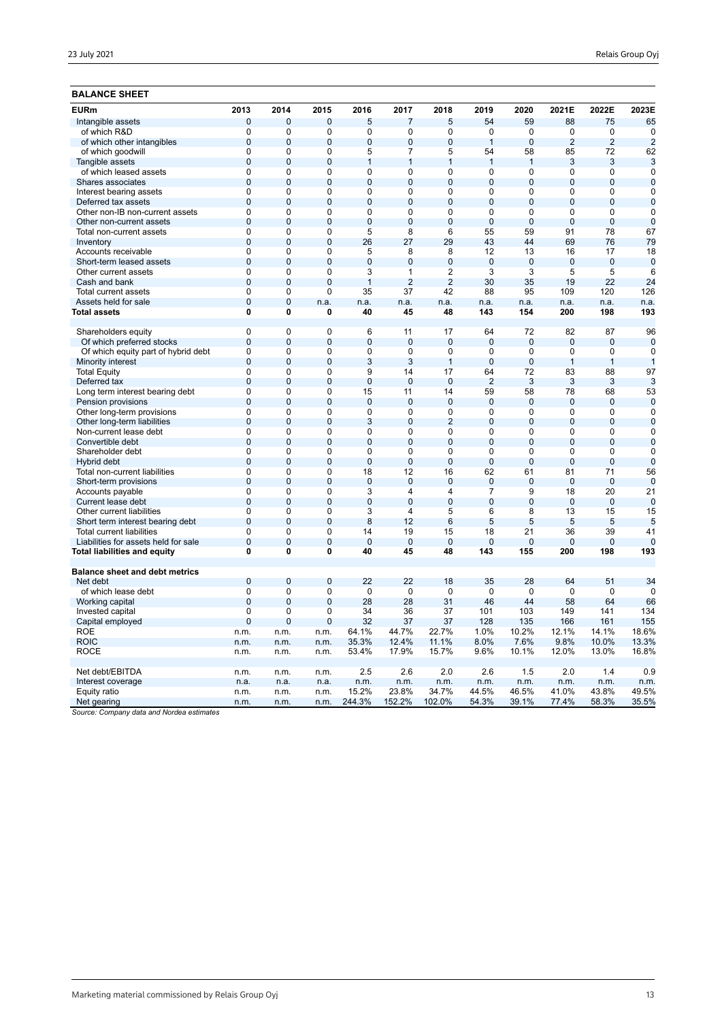## **BALANCE SHEET**

| <b>EURm</b>                                           | 2013                    | 2014           | 2015                    | 2016                 | 2017                 | 2018                 | 2019                 | 2020                             | 2021E                            | 2022E          | 2023E          |
|-------------------------------------------------------|-------------------------|----------------|-------------------------|----------------------|----------------------|----------------------|----------------------|----------------------------------|----------------------------------|----------------|----------------|
| Intangible assets                                     | $\mathbf 0$             | $\overline{0}$ | 0                       | 5                    | $\overline{7}$       | 5                    | 54                   | 59                               | 88                               | 75             | 65             |
| of which R&D                                          | 0                       | $\Omega$       | 0                       | 0                    | 0                    | 0                    | $\Omega$             | 0                                | 0                                | $\mathbf 0$    | $\mathbf 0$    |
| of which other intangibles                            | $\overline{0}$          | $\Omega$       | $\overline{0}$          | $\overline{0}$       | $\overline{0}$       | $\overline{0}$       | $\overline{1}$       | $\overline{0}$                   | $\overline{2}$                   | $\overline{2}$ | $\overline{2}$ |
| of which goodwill                                     | $\Omega$                | 0              | 0                       | 5                    | 7                    | 5                    | 54                   | 58                               | 85                               | 72             | 62             |
| Tangible assets                                       | $\overline{0}$          | $\overline{0}$ | $\overline{0}$          | $\mathbf{1}$         | $\mathbf{1}$         | $\mathbf{1}$         | $\overline{1}$       | $\overline{1}$                   | 3                                | 3              | 3              |
| of which leased assets                                | $\overline{0}$          | 0              | 0                       | 0                    | $\Omega$             | 0                    | 0                    | 0                                | 0                                | 0              | $\Omega$       |
| Shares associates                                     | $\overline{0}$          | $\overline{0}$ | $\overline{0}$          | $\overline{0}$       | $\overline{0}$       | $\overline{0}$       | $\overline{0}$       | $\overline{0}$                   | $\overline{0}$                   | $\overline{0}$ | $\overline{0}$ |
| Interest bearing assets                               | $\mathbf 0$             | 0              | 0                       | 0                    | 0                    | 0                    | 0                    | $\mathbf 0$                      | 0                                | 0              | $\mathbf 0$    |
| Deferred tax assets                                   | $\overline{0}$          | $\mathbf 0$    | $\overline{0}$          | $\overline{0}$       | $\overline{0}$       | $\mathbf{0}$         | $\overline{0}$       | $\overline{0}$                   | $\mathbf{0}$                     | $\overline{0}$ | $\mathbf 0$    |
| Other non-IB non-current assets                       | $\mathbf 0$             | 0              | $\mathbf 0$             | 0                    | 0                    | 0                    | 0                    | $\mathbf 0$                      | 0                                | 0              | $\mathbf 0$    |
| Other non-current assets                              | $\overline{0}$          | $\mathbf 0$    | $\overline{0}$          | $\overline{0}$       | $\overline{0}$       | $\mathbf{0}$         | $\overline{0}$       | $\overline{0}$                   | $\mathbf{0}$                     | $\overline{0}$ | $\mathbf 0$    |
| Total non-current assets                              | $\mathbf 0$             | 0              | $\mathbf 0$             | 5                    | 8                    | 6                    | 55                   | 59                               | 91                               | 78             | 67             |
| Inventory                                             | $\overline{0}$          | $\overline{0}$ | 0                       | 26                   | 27                   | 29                   | 43                   | 44                               | 69                               | 76             | 79             |
| Accounts receivable                                   | $\overline{0}$          | $\overline{0}$ | $\overline{0}$          | 5                    | 8                    | $\overline{8}$       | 12                   | 13                               | 16                               | 17             | 18             |
| Short-term leased assets                              | $\mathbf 0$             | $\overline{0}$ | $\mathbf 0$             | $\mathbf 0$          | $\overline{0}$       | $\mathbf 0$          | $\overline{0}$       | $\mathbf 0$                      | $\overline{0}$                   | $\mathbf 0$    | $\mathbf 0$    |
| Other current assets                                  | $\overline{0}$          | $\overline{0}$ | $\overline{0}$          | $\overline{3}$       | 1                    | $\overline{2}$       | $\overline{3}$       | $\overline{3}$                   | $\overline{5}$                   | 5              | 6              |
| Cash and bank                                         | $\mathbf 0$             | $\overline{0}$ | $\overline{0}$          | $\mathbf{1}$         | $\overline{2}$       | $\overline{2}$       | 30                   | 35                               | 19                               | 22             | 24             |
| Total current assets                                  | $\overline{0}$          | 0              | $\overline{0}$          | 35                   | 37                   | 42                   | 88                   | 95                               | 109                              | 120            | 126            |
| Assets held for sale                                  | $\mathbf 0$             | $\mathbf 0$    | n.a.                    | n.a.                 | n.a.                 | n.a.                 | n.a.                 | n.a.                             | n.a.                             | n.a.           | n.a.           |
| <b>Total assets</b>                                   | $\overline{0}$          | 0              | 0                       | 40                   | 45                   | 48                   | 143                  | 154                              | 200                              | 198            | 193            |
|                                                       |                         |                |                         |                      |                      |                      |                      |                                  |                                  |                |                |
| Shareholders equity                                   | $\overline{0}$          | 0              | 0                       | 6                    | 11                   | 17                   | 64                   | 72                               | 82                               | 87             | 96             |
| Of which preferred stocks                             | $\mathbf 0$             | $\overline{0}$ | $\mathbf 0$             | $\mathbf 0$          | $\Omega$             | $\Omega$             | $\mathbf 0$          | $\mathbf 0$                      | $\Omega$                         | 0              | $\mathbf 0$    |
| Of which equity part of hybrid debt                   | $\overline{0}$          | $\overline{0}$ | $\overline{0}$          | $\overline{0}$       | $\overline{0}$       | $\overline{0}$       | $\overline{0}$       | $\overline{0}$<br>$\overline{0}$ | $\overline{0}$<br>$\overline{1}$ | $\overline{0}$ | $\overline{0}$ |
| Minority interest                                     | $\overline{0}$          | $\Omega$       | $\Omega$                | 3                    | 3                    | $\mathbf{1}$         | $\overline{0}$       |                                  |                                  | $\mathbf{1}$   | $\overline{1}$ |
| <b>Total Equity</b>                                   | 0                       | 0              | 0                       | 9                    | 14                   | 17                   | 64                   | 72                               | 83                               | 88             | 97             |
| Deferred tax                                          | $\Omega$<br>$\mathbf 0$ | $\Omega$<br>0  | $\Omega$<br>$\mathbf 0$ | $\overline{0}$       | $\overline{0}$<br>11 | $\overline{0}$<br>14 | $\overline{2}$<br>59 | 3                                | 3                                | 3<br>68        | 3              |
| Long term interest bearing debt                       | $\overline{0}$          | $\Omega$       | $\Omega$                | 15<br>$\overline{0}$ | $\Omega$             | $\Omega$             | $\Omega$             | 58<br>$\overline{0}$             | 78<br>$\Omega$                   | $\Omega$       | 53<br>$\Omega$ |
| Pension provisions                                    | $\overline{0}$          | 0              | $\overline{0}$          | $\overline{0}$       | 0                    | $\overline{0}$       | 0                    | $\overline{0}$                   | 0                                | 0              | $\mathbf 0$    |
| Other long-term provisions                            | $\overline{0}$          | $\mathbf{0}$   | $\overline{0}$          | 3                    | $\overline{0}$       | $\overline{2}$       | $\overline{0}$       | $\overline{0}$                   | $\mathbf{0}$                     | $\overline{0}$ | $\mathbf 0$    |
| Other long-term liabilities<br>Non-current lease debt | $\overline{0}$          | 0              | $\overline{0}$          | $\overline{0}$       | 0                    | $\overline{0}$       | $\overline{0}$       | $\overline{0}$                   | $\overline{0}$                   | $\overline{0}$ | $\overline{0}$ |
| Convertible debt                                      | $\overline{0}$          | $\overline{0}$ | $\overline{0}$          | $\overline{0}$       | $\overline{0}$       | $\overline{0}$       | $\overline{0}$       | $\overline{0}$                   | $\overline{0}$                   | $\overline{0}$ | $\overline{0}$ |
| Shareholder debt                                      | 0                       | $\mathbf 0$    | $\mathbf 0$             | 0                    | 0                    | 0                    | 0                    | 0                                | 0                                | 0              | $\mathbf 0$    |
| Hybrid debt                                           | $\mathbf{0}$            | $\mathbf{0}$   | 0                       | $\mathbf 0$          | $\Omega$             | $\mathbf{0}$         | $\mathbf 0$          | $\mathbf 0$                      | $\mathbf{0}$                     | $\mathbf{0}$   | $\overline{0}$ |
| Total non-current liabilities                         | 0                       | 0              | $\mathbf 0$             | 18                   | 12                   | 16                   | 62                   | 61                               | 81                               | 71             | 56             |
| Short-term provisions                                 | $\mathbf 0$             | $\overline{0}$ | $\overline{0}$          | $\overline{0}$       | $\overline{0}$       | $\overline{0}$       | $\overline{0}$       | $\mathbf 0$                      | $\overline{0}$                   | $\overline{0}$ | $\overline{0}$ |
| Accounts payable                                      | $\mathbf 0$             | $\mathbf 0$    | $\mathbf 0$             | 3                    | 4                    | 4                    | $\overline{7}$       | 9                                | 18                               | 20             | 21             |
| Current lease debt                                    | $\overline{0}$          | $\overline{0}$ | $\Omega$                | $\overline{0}$       | $\overline{0}$       | $\overline{0}$       | $\overline{0}$       | $\overline{0}$                   | $\Omega$                         | $\overline{0}$ | $\overline{0}$ |
| Other current liabilities                             | 0                       | 0              | $\Omega$                | 3                    | 4                    | 5                    | 6                    | 8                                | 13                               | 15             | 15             |
| Short term interest bearing debt                      | $\overline{0}$          | $\overline{0}$ | $\overline{0}$          | 8                    | 12                   | 6                    | 5                    | 5                                | 5                                | 5              | 5              |
| <b>Total current liabilities</b>                      | 0                       | 0              | 0                       | 14                   | 19                   | 15                   | 18                   | 21                               | 36                               | 39             | 41             |
| Liabilities for assets held for sale                  | $\overline{0}$          | $\overline{0}$ | $\overline{0}$          | $\overline{0}$       | $\overline{0}$       | $\overline{0}$       | $\overline{0}$       | $\overline{0}$                   | $\overline{0}$                   | $\overline{0}$ | $\overline{0}$ |
| Total liabilities and equity                          | $\mathbf{0}$            | 0              | $\mathbf{0}$            | 40                   | 45                   | 48                   | 143                  | 155                              | 200                              | 198            | 193            |
|                                                       |                         |                |                         |                      |                      |                      |                      |                                  |                                  |                |                |
| <b>Balance sheet and debt metrics</b>                 |                         |                |                         |                      |                      |                      |                      |                                  |                                  |                |                |
| Net debt                                              | $\overline{0}$          | $\overline{0}$ | $\overline{0}$          | 22                   | 22                   | 18                   | 35                   | 28                               | 64                               | 51             | 34             |
| of which lease debt                                   | $\mathbf 0$             | $\Omega$       | $\Omega$                | $\mathbf 0$          | $\Omega$             | $\Omega$             | 0                    | $\mathbf 0$                      | 0                                | 0              | $\Omega$       |
| Working capital                                       | $\overline{0}$          | $\mathbf{0}$   | $\overline{0}$          | 28                   | 28                   | 31                   | 46                   | 44                               | 58                               | 64             | 66             |
| Invested capital                                      | $\Omega$                | 0              | 0                       | 34                   | 36                   | 37                   | 101                  | 103                              | 149                              | 141            | 134            |
| Capital employed                                      | $\overline{0}$          | $\overline{0}$ | $\overline{0}$          | 32                   | 37                   | 37                   | 128                  | 135                              | 166                              | 161            | 155            |
| <b>ROE</b>                                            | n.m.                    | n.m.           | n.m.                    | 64.1%                | 44.7%                | 22.7%                | 1.0%                 | 10.2%                            | 12.1%                            | 14.1%          | 18.6%          |
| <b>ROIC</b>                                           | n.m.                    | n.m.           | n.m.                    | 35.3%                | 12.4%                | 11.1%                | 8.0%                 | 7.6%                             | 9.8%                             | 10.0%          | 13.3%          |
| <b>ROCE</b>                                           | n.m.                    | n.m.           | n.m.                    | 53.4%                | 17.9%                | 15.7%                | 9.6%                 | 10.1%                            | 12.0%                            | 13.0%          | 16.8%          |
| Net debt/EBITDA                                       | n.m.                    | n.m.           | n.m.                    | 2.5                  | 2.6                  | 2.0                  | 2.6                  | 1.5                              | 2.0                              | 1.4            | 0.9            |
| Interest coverage                                     | n.a.                    | n.a.           | n.a.                    | n.m.                 | n.m.                 | n.m.                 | n.m.                 | n.m.                             | n.m.                             | n.m.           | n.m.           |
| Equity ratio                                          | n.m.                    | n.m.           | n.m.                    | 15.2%                | 23.8%                | 34.7%                | 44.5%                | 46.5%                            | 41.0%                            | 43.8%          | 49.5%          |
| Net gearing                                           | n.m.                    | n.m.           | n.m.                    | 244.3%               | 152.2%               | 102.0%               | 54.3%                | 39.1%                            | 77.4%                            | 58.3%          | 35.5%          |
| $1.11 - 1.1$                                          |                         |                |                         |                      |                      |                      |                      |                                  |                                  |                |                |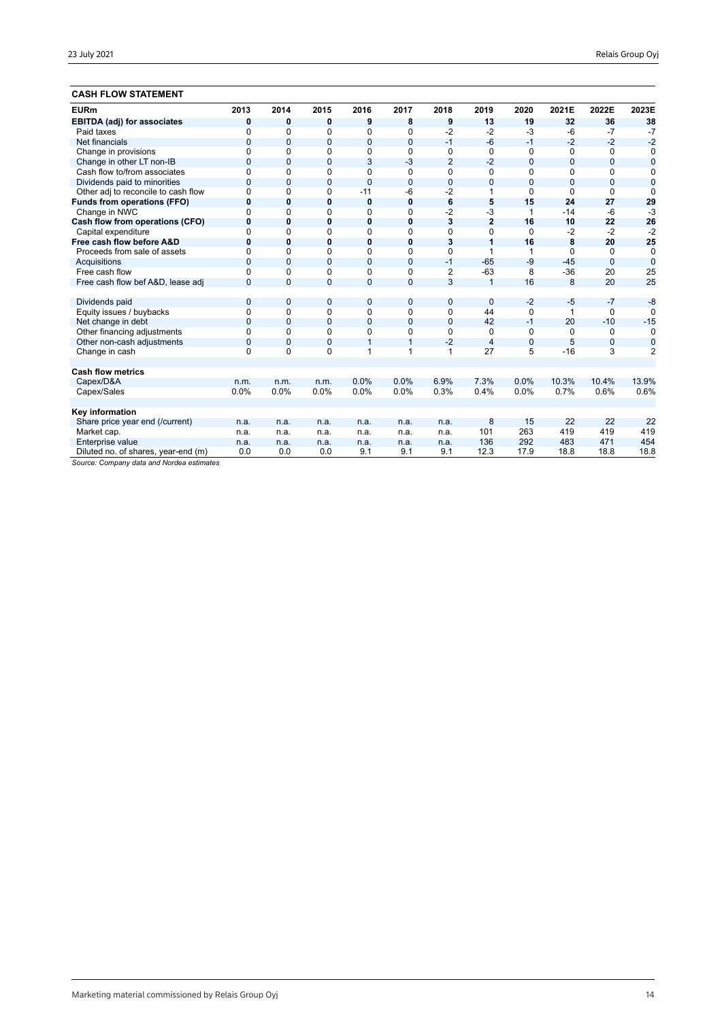## **CASH FLOW STATEMENT**

| <b>EURm</b>                         | 2013           | 2014           | 2015         | 2016           | 2017           | 2018           | 2019           | 2020           | 2021E        | 2022E        | 2023E          |
|-------------------------------------|----------------|----------------|--------------|----------------|----------------|----------------|----------------|----------------|--------------|--------------|----------------|
| <b>EBITDA (adj) for associates</b>  | 0              | 0              | 0            | 9              | 8              | 9              | 13             | 19             | 32           | 36           | 38             |
| Paid taxes                          | $\Omega$       | 0              | $\Omega$     | 0              | $\Omega$       | $-2$           | $-2$           | $-3$           | $-6$         | $-7$         | $-7$           |
| Net financials                      | $\mathbf{0}$   | $\mathbf{0}$   | $\mathbf{0}$ | $\overline{0}$ | $\mathbf{0}$   | $-1$           | $-6$           | $-1$           | $-2$         | $-2$         | $-2$           |
| Change in provisions                | $\mathbf 0$    | $\Omega$       | $\Omega$     | 0              | 0              | 0              | $\Omega$       | 0              | 0            | $\Omega$     | 0              |
| Change in other LT non-IB           | $\mathbf{0}$   | $\mathbf{0}$   | $\mathbf{0}$ | 3              | $-3$           | $\overline{2}$ | $-2$           | 0              | $\mathbf{0}$ | $\mathbf{0}$ | $\bf{0}$       |
| Cash flow to/from associates        | $\mathbf 0$    | 0              | 0            | 0              | $\mathbf 0$    | 0              | 0              | 0              | 0            | $\Omega$     | 0              |
| Dividends paid to minorities        | $\overline{0}$ | $\Omega$       | $\Omega$     | $\overline{0}$ | $\Omega$       | $\overline{0}$ | $\Omega$       | $\overline{0}$ | $\Omega$     | $\Omega$     | $\overline{0}$ |
| Other adj to reconcile to cash flow | $\Omega$       | $\Omega$       | $\Omega$     | $-11$          | -6             | $-2$           | 1              | $\Omega$       | $\Omega$     | $\Omega$     | $\Omega$       |
| <b>Funds from operations (FFO)</b>  | $\bf{0}$       | 0              | $\bf{0}$     | 0              | $\mathbf 0$    | 6              | 5              | 15             | 24           | 27           | 29             |
| Change in NWC                       | $\Omega$       | 0              | $\Omega$     | 0              | $\mathbf 0$    | -2             | $-3$           | 1              | $-14$        | $-6$         | $-3$           |
| Cash flow from operations (CFO)     | $\bf{0}$       | 0              | 0            | 0              | $\mathbf 0$    | 3              | $\overline{2}$ | 16             | 10           | 22           | 26             |
| Capital expenditure                 | $\mathbf 0$    | 0              | $\Omega$     | 0              | $\Omega$       | 0              | $\Omega$       | 0              | $-2$         | $-2$         | $-2$           |
| Free cash flow before A&D           | $\bf{0}$       | 0              | 0            | 0              | $\mathbf 0$    | 3              | 1              | 16             | 8            | 20           | 25             |
| Proceeds from sale of assets        | $\Omega$       | $\Omega$       | $\Omega$     | 0              | $\Omega$       | 0              | 1              | 1              | $\Omega$     | $\Omega$     | $\mathbf 0$    |
| Acquisitions                        | $\Omega$       | $\Omega$       | $\Omega$     | 0              | $\mathbf{0}$   | $-1$           | $-65$          | $-9$           | $-45$        | $\Omega$     | $\overline{0}$ |
| Free cash flow                      | $\Omega$       | 0              | $\Omega$     | 0              | $\Omega$       | 2              | $-63$          | 8              | $-36$        | 20           | 25             |
| Free cash flow bef A&D, lease adj   | $\Omega$       | $\Omega$       | $\mathbf{0}$ | 0              | $\overline{0}$ | 3              | $\overline{1}$ | 16             | 8            | 20           | 25             |
|                                     |                |                |              |                |                |                |                |                |              |              |                |
| Dividends paid                      | $\overline{0}$ | $\mathbf{0}$   | $\mathbf{0}$ | 0              | $\overline{0}$ | $\overline{0}$ | $\overline{0}$ | $-2$           | $-5$         | $-7$         | $-8$           |
| Equity issues / buybacks            | $\mathbf 0$    | 0              | 0            | 0              | $\mathbf 0$    | 0              | 44             | 0              | 1            | $\Omega$     | $\Omega$       |
| Net change in debt                  | $\mathbf{0}$   | $\mathbf{0}$   | 0            | 0              | $\mathbf{0}$   | $\overline{0}$ | 42             | $-1$           | 20           | $-10$        | $-15$          |
| Other financing adjustments         | 0              | 0              | $\Omega$     | 0              | 0              | 0              | $\Omega$       | 0              | $\Omega$     | 0            | $\Omega$       |
| Other non-cash adjustments          | $\mathbf 0$    | $\overline{0}$ | $\mathbf{0}$ | $\mathbf{1}$   | $\mathbf{1}$   | $-2$           | $\overline{4}$ | $\mathbf 0$    | 5            | $\mathbf 0$  | $\mathbf 0$    |
| Change in cash                      | $\Omega$       | $\Omega$       | $\Omega$     | 1              | 1              | 1              | 27             | 5              | $-16$        | 3            | $\overline{2}$ |
|                                     |                |                |              |                |                |                |                |                |              |              |                |
| <b>Cash flow metrics</b>            |                |                |              |                |                |                |                |                |              |              |                |
| Capex/D&A                           | n.m.           | n.m.           | n.m.         | 0.0%           | 0.0%           | 6.9%           | 7.3%           | 0.0%           | 10.3%        | 10.4%        | 13.9%          |
| Capex/Sales                         | 0.0%           | 0.0%           | 0.0%         | 0.0%           | 0.0%           | 0.3%           | 0.4%           | 0.0%           | 0.7%         | 0.6%         | 0.6%           |
|                                     |                |                |              |                |                |                |                |                |              |              |                |
| Key information                     |                |                |              |                |                |                |                |                |              |              |                |
| Share price year end (/current)     | n.a.           | n.a.           | n.a.         | n.a.           | n.a.           | n.a.           | 8              | 15             | 22           | 22           | 22             |
| Market cap.                         | n.a.           | n.a.           | n.a.         | n.a.           | n.a.           | n.a.           | 101            | 263            | 419          | 419          | 419            |
| Enterprise value                    | n.a.           | n.a.           | n.a.         | n.a.           | n.a.           | n.a.           | 136            | 292            | 483          | 471          | 454            |
| Diluted no. of shares, year-end (m) | 0.0            | 0.0            | 0.0          | 9.1            | 9.1            | 9.1            | 12.3           | 17.9           | 18.8         | 18.8         | 18.8           |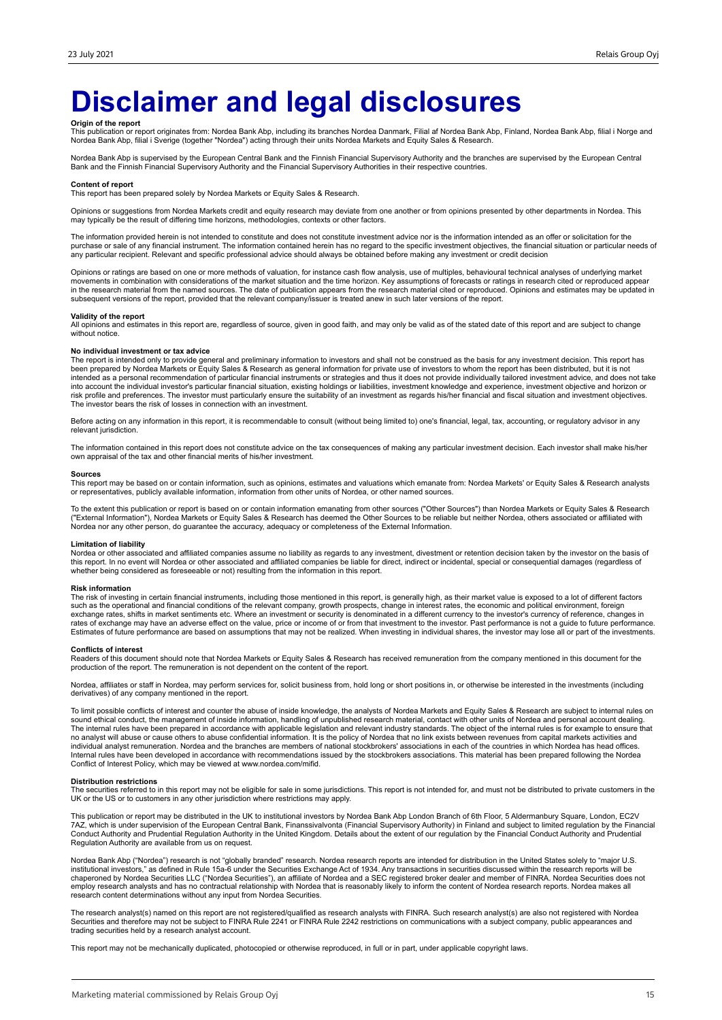## **Disclaimer and legal disclosures**

**Origin of the report**<br>This publication or report originates from: Nordea Bank Abp, including its branches Nordea Danmark, Filial af Nordea Bank Abp, Mordea Bank Abp, filial i Norge and<br>Nordea Bank Abp, filial i Sverige (t

Nordea Bank Abp is supervised by the European Central Bank and the Finnish Financial Supervisory Authority and the branches are supervised by the European Central<br>Bank and the Finnish Financial Supervisory Authority and th

#### **Content of report**

This report has been prepared solely by Nordea Markets or Equity Sales & Research.

Opinions or suggestions from Nordea Markets credit and equity research may deviate from one another or from opinions presented by other departments in Nordea. This may typically be the result of differing time horizons, methodologies, contexts or other factors.

The information provided herein is not intended to constitute and does not constitute investment advice nor is the information intended as an offer or solicitation for the purchase or sale of any financial instrument. The information contained herein has no regard to the specific investment objectives, the financial situation or particular needs of<br>any particular recipient. Relevant and spec

Opinions or ratings are based on one or more methods of valuation, for instance cash flow analysis, use of multiples, behavioural technical analyses of underlying market movements in combination with considerations of the market situation and the time horizon. Key assumptions of forecasts or ratings in research cited or reproduced appear<br>in the research material from the named sources. The subsequent versions of the report, provided that the relevant company/issuer is treated anew in such later versions of the report.

#### **Validity of the report**

All opinions and estimates in this report are, regardless of source, given in good faith, and may only be valid as of the stated date of this report and are subject to change without notice.

#### **No individual investment or tax advice**

The report is intended only to provide general and preliminary information to investors and shall not be construed as the basis for any investment decision. This report has<br>been prepared by Nordea Markets or Equity Sales & into account the individual investor's particular financial situation, existing holdings or liabilities, investment knowledge and experience, investment objective and horizon or<br>risk profile and preferences. The investor m The investor bears the risk of losses in connection with an investment.

Before acting on any information in this report, it is recommendable to consult (without being limited to) one's financial, legal, tax, accounting, or regulatory advisor in any relevant jurisdiction.

The information contained in this report does not constitute advice on the tax consequences of making any particular investment decision. Each investor shall make his/her own appraisal of the tax and other financial merits of his/her investment.

#### **Sources**

This report may be based on or contain information, such as opinions, estimates and valuations which emanate from: Nordea Markets' or Equity Sales & Research analysts or representatives, publicly available information, information from other units of Nordea, or other named sources.

To the extent this publication or report is based on or contain information emanating from other sources ("Other Sources") than Nordea Markets or Equity Sales & Research<br>("External Information"), Nordea Markets or Equity S Nordea nor any other person, do guarantee the accuracy, adequacy or completeness of the External Information.

#### **Limitation of liability**

Nordea or other associated and affiliated companies assume no liability as regards to any investment, divestment or retention decision taken by the investor on the basis of<br>this report. In no event will Nordea or other ass whether being considered as foreseeable or not) resulting from the information in this report.

#### **Risk information**

The risk of investing in certain financial instruments, including those mentioned in this report, is generally high, as their market value is exposed to a lot of different factors<br>such as the operational and financial cond exchange rates, shifts in market sentiments etc. Where an investment or security is denominated in a different currency to the investor's currency of reference, changes in<br>rates of exchange may have an adverse effect on th Estimates of future performance are based on assumptions that may not be realized. When investing in individual shares, the investor may lose all or part of the investments.

#### **Conflicts of interest**

Readers of this document should note that Nordea Markets or Equity Sales & Research has received remuneration from the company mentioned in this document for the<br>production of the report. The remuneration is not dependent

Nordea, affiliates or staff in Nordea, may perform services for, solicit business from, hold long or short positions in, or otherwise be interested in the investments (including derivatives) of any company mentioned in the report.

To limit possible conflicts of interest and counter the abuse of inside knowledge, the analysts of Nordea Markets and Equity Sales & Research are subject to internal rules on sound ethical conduct, the management of inside information, handling of unpublished research material, contact with other units of Nordea and personal account dealing.<br>The internal rules have been prepared in accordance w individual analyst remuneration. Nordea and the branches are members of national stockbrokers' associations in each of the countries in which Nordea has head offices.<br>Internal rules have been developed in accordance with r Conflict of Interest Policy, which may be viewed at www.nordea.com/mifid.

#### **Distribution restrictions**

The securities referred to in this report may not be eligible for sale in some jurisdictions. This report is not intended for, and must not be distributed to private customers in the UK or the US or to customers in any other jurisdiction where restrictions may apply.

This publication or report may be distributed in the UK to institutional investors by Nordea Bank Abp London Branch of 6th Floor, 5 Aldermanbury Square, London, EC2V 7AZ, which is under supervision of the European Central Bank, Finanssivalvonta (Financial Supervisory Authority) in Finland and subject to limited regulation by the Financial<br>Conduct Authority and Prudential Regulation Aut Regulation Authority are available from us on request.

Nordea Bank Abp ("Nordea") research is not "globally branded" research. Nordea research reports are intended for distribution in the United States solely to "major U.S. institutional investors," as defined in Rule 15a-6 under the Securities Exchange Act of 1934. Any transactions in securities discussed within the research reports will be<br>chaperoned by Nordea Securities LLC ("Nordea Securi research content determinations without any input from Nordea Securities.

The research analyst(s) named on this report are not registered/qualified as research analysts with FINRA. Such research analyst(s) are also not registered with Nordea<br>Securities and therefore may not be subject to FINRA R trading securities held by a research analyst account.

This report may not be mechanically duplicated, photocopied or otherwise reproduced, in full or in part, under applicable copyright laws.